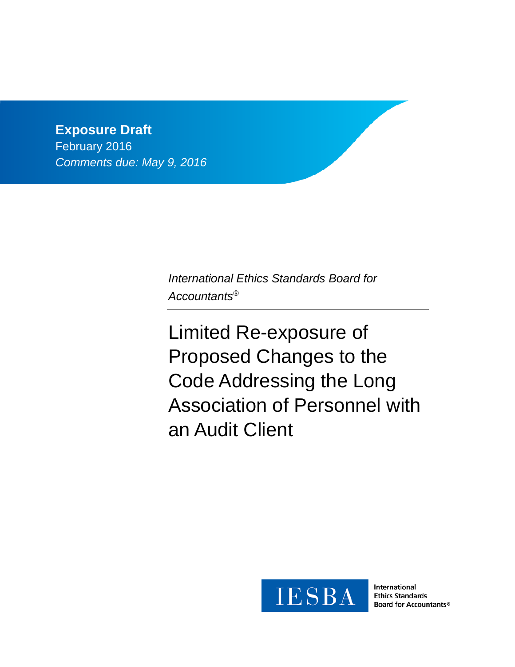**Exposure Draft** February 2016 *Comments due: May 9, 2016*

> *International Ethics Standards Board for Accountants®*

Limited Re-exposure of Proposed Changes to the Code Addressing the Long Association of Personnel with an Audit Client



International **Ethics Standards Board for Accountants®**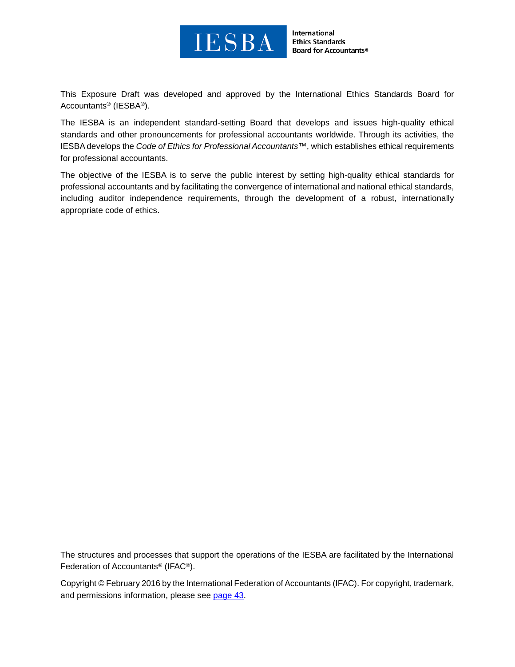

International **Ethics Standards** Board for Accountants®

This Exposure Draft was developed and approved by the [International Ethics Standards Board](http://www.ifac.org/ethics) for [Accountants®](http://www.ifac.org/ethics) (IESBA®).

The IESBA is an independent standard-setting Board that develops and issues high-quality ethical standards and other pronouncements for professional accountants worldwide. Through its activities, the IESBA develops the *Code of Ethics for Professional Accountants™*, which establishes ethical requirements for professional accountants.

The objective of the IESBA is to serve the public interest by setting high-quality ethical standards for professional accountants and by facilitating the convergence of international and national ethical standards, including auditor independence requirements, through the development of a robust, internationally appropriate code of ethics.

The structures and processes that support the operations of the IESBA are facilitated by the International Federation of Accountants® (IFAC®).

Copyright © February 2016 by the International Federation of Accountants (IFAC). For copyright, trademark, and permissions information, please see [page 43.](#page-42-0)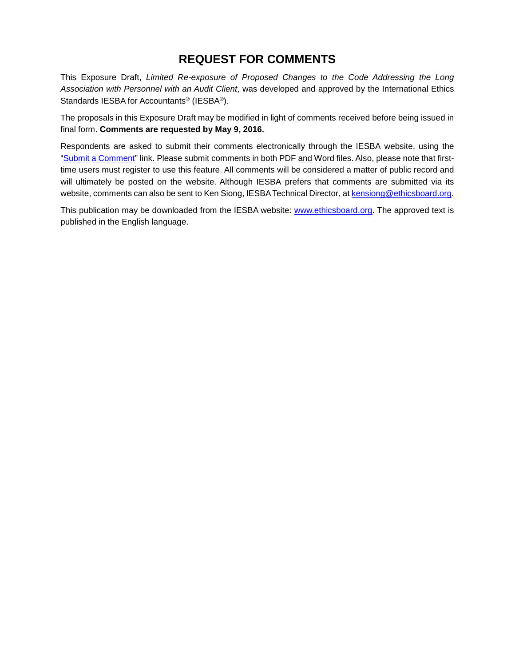# **REQUEST FOR COMMENTS**

This Exposure Draft, *Limited Re-exposure of Proposed Changes to the Code Addressing the Long Association with Personnel with an Audit Client*, was developed and approved by the International Ethics Standards IESBA for Accountants® (IESBA®).

The proposals in this Exposure Draft may be modified in light of comments received before being issued in final form. **Comments are requested by May 9, 2016.**

Respondents are asked to submit their comments electronically through the IESBA website, using the ["Submit a Comment"](http://www.ifac.org/publications-resources/limited-re-exposure-proposed-changes-code-addressing-long-association) link. Please submit comments in both PDF and Word files. Also, please note that firsttime users must register to use this feature. All comments will be considered a matter of public record and will ultimately be posted on the website. Although IESBA prefers that comments are submitted via its website, comments can also be sent to Ken Siong, IESBA Technical Director, at [kensiong@ethicsboard.org.](mailto:kensiong@ethicsboard.org)

This publication may be downloaded from the IESBA website: [www.ethicsboard.org.](http://www.ethicsboard.org/) The approved text is published in the English language.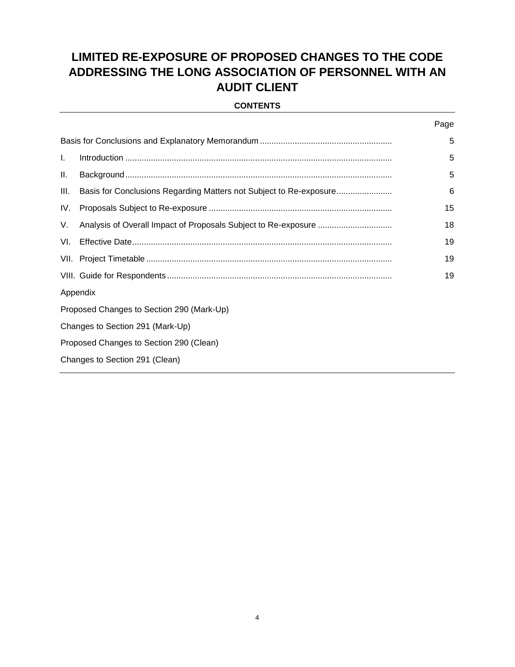# **LIMITED RE-EXPOSURE OF PROPOSED CHANGES TO THE CODE ADDRESSING THE LONG ASSOCIATION OF PERSONNEL WITH AN AUDIT CLIENT**

#### **CONTENTS**

|     |                                                                    | Page |  |  |  |
|-----|--------------------------------------------------------------------|------|--|--|--|
|     |                                                                    |      |  |  |  |
| L.  |                                                                    | 5    |  |  |  |
| Ш.  |                                                                    | 5    |  |  |  |
| Ш.  | Basis for Conclusions Regarding Matters not Subject to Re-exposure | 6    |  |  |  |
| IV. |                                                                    | 15   |  |  |  |
| V.  |                                                                    | 18   |  |  |  |
| VI. |                                                                    | 19   |  |  |  |
|     |                                                                    | 19   |  |  |  |
|     |                                                                    | 19   |  |  |  |
|     | Appendix                                                           |      |  |  |  |
|     | Proposed Changes to Section 290 (Mark-Up)                          |      |  |  |  |
|     | Changes to Section 291 (Mark-Up)                                   |      |  |  |  |
|     | Proposed Changes to Section 290 (Clean)                            |      |  |  |  |
|     | Changes to Section 291 (Clean)                                     |      |  |  |  |
|     |                                                                    |      |  |  |  |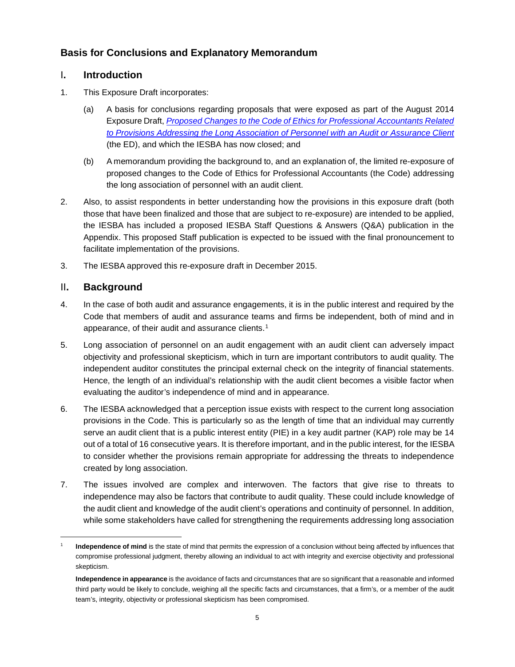## <span id="page-4-0"></span>**Basis for Conclusions and Explanatory Memorandum**

## <span id="page-4-1"></span>I**. Introduction**

- 1. This Exposure Draft incorporates:
	- (a) A basis for conclusions regarding proposals that were exposed as part of the August 2014 Exposure Draft, *[Proposed Changes to the Code of Ethics for Professional Accountants Related](http://www.ifac.org/publications-resources/proposed-changes-certain-provisions-code-addressing-long-association-personne)  [to Provisions Addressing the Long Association of Personnel with an Audit or Assurance Client](http://www.ifac.org/publications-resources/proposed-changes-certain-provisions-code-addressing-long-association-personne)* (the ED), and which the IESBA has now closed; and
	- (b) A memorandum providing the background to, and an explanation of, the limited re-exposure of proposed changes to the Code of Ethics for Professional Accountants (the Code) addressing the long association of personnel with an audit client.
- 2. Also, to assist respondents in better understanding how the provisions in this exposure draft (both those that have been finalized and those that are subject to re-exposure) are intended to be applied, the IESBA has included a proposed IESBA Staff Questions & Answers (Q&A) publication in the Appendix. This proposed Staff publication is expected to be issued with the final pronouncement to facilitate implementation of the provisions.
- <span id="page-4-2"></span>3. The IESBA approved this re-exposure draft in December 2015.

## II**. Background**

- 4. In the case of both audit and assurance engagements, it is in the public interest and required by the Code that members of audit and assurance teams and firms be independent, both of mind and in appearance, of their audit and assurance clients.<sup>[1](#page-4-3)</sup>
- 5. Long association of personnel on an audit engagement with an audit client can adversely impact objectivity and professional skepticism, which in turn are important contributors to audit quality. The independent auditor constitutes the principal external check on the integrity of financial statements. Hence, the length of an individual's relationship with the audit client becomes a visible factor when evaluating the auditor's independence of mind and in appearance.
- 6. The IESBA acknowledged that a perception issue exists with respect to the current long association provisions in the Code. This is particularly so as the length of time that an individual may currently serve an audit client that is a public interest entity (PIE) in a key audit partner (KAP) role may be 14 out of a total of 16 consecutive years. It is therefore important, and in the public interest, for the IESBA to consider whether the provisions remain appropriate for addressing the threats to independence created by long association.
- 7. The issues involved are complex and interwoven. The factors that give rise to threats to independence may also be factors that contribute to audit quality. These could include knowledge of the audit client and knowledge of the audit client's operations and continuity of personnel. In addition, while some stakeholders have called for strengthening the requirements addressing long association

<span id="page-4-3"></span>Independence of mind is the state of mind that permits the expression of a conclusion without being affected by influences that compromise professional judgment, thereby allowing an individual to act with integrity and exercise objectivity and professional skepticism.

**Independence in appearance** is the avoidance of facts and circumstances that are so significant that a reasonable and informed third party would be likely to conclude, weighing all the specific facts and circumstances, that a firm's, or a member of the audit team's, integrity, objectivity or professional skepticism has been compromised.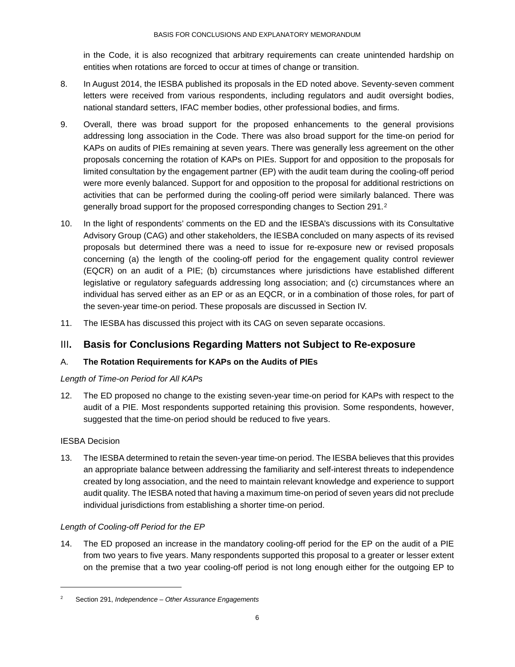in the Code, it is also recognized that arbitrary requirements can create unintended hardship on entities when rotations are forced to occur at times of change or transition.

- 8. In August 2014, the IESBA published its proposals in the ED noted above. Seventy-seven comment letters were received from various respondents, including regulators and audit oversight bodies, national standard setters, IFAC member bodies, other professional bodies, and firms.
- 9. Overall, there was broad support for the proposed enhancements to the general provisions addressing long association in the Code. There was also broad support for the time-on period for KAPs on audits of PIEs remaining at seven years. There was generally less agreement on the other proposals concerning the rotation of KAPs on PIEs. Support for and opposition to the proposals for limited consultation by the engagement partner (EP) with the audit team during the cooling-off period were more evenly balanced. Support for and opposition to the proposal for additional restrictions on activities that can be performed during the cooling-off period were similarly balanced. There was generally broad support for the proposed corresponding changes to Section [2](#page-5-1)91.<sup>2</sup>
- 10. In the light of respondents' comments on the ED and the IESBA's discussions with its Consultative Advisory Group (CAG) and other stakeholders, the IESBA concluded on many aspects of its revised proposals but determined there was a need to issue for re-exposure new or revised proposals concerning (a) the length of the cooling-off period for the engagement quality control reviewer (EQCR) on an audit of a PIE; (b) circumstances where jurisdictions have established different legislative or regulatory safeguards addressing long association; and (c) circumstances where an individual has served either as an EP or as an EQCR, or in a combination of those roles, for part of the seven-year time-on period. These proposals are discussed in Section IV.
- <span id="page-5-0"></span>11. The IESBA has discussed this project with its CAG on seven separate occasions.

## III**. Basis for Conclusions Regarding Matters not Subject to Re-exposure**

## A. **The Rotation Requirements for KAPs on the Audits of PIEs**

#### *Length of Time-on Period for All KAPs*

12. The ED proposed no change to the existing seven-year time-on period for KAPs with respect to the audit of a PIE. Most respondents supported retaining this provision. Some respondents, however, suggested that the time-on period should be reduced to five years.

#### IESBA Decision

-

13. The IESBA determined to retain the seven-year time-on period. The IESBA believes that this provides an appropriate balance between addressing the familiarity and self-interest threats to independence created by long association, and the need to maintain relevant knowledge and experience to support audit quality. The IESBA noted that having a maximum time-on period of seven years did not preclude individual jurisdictions from establishing a shorter time-on period.

## *Length of Cooling-off Period for the EP*

14. The ED proposed an increase in the mandatory cooling-off period for the EP on the audit of a PIE from two years to five years. Many respondents supported this proposal to a greater or lesser extent on the premise that a two year cooling-off period is not long enough either for the outgoing EP to

<span id="page-5-1"></span><sup>2</sup> Section 291, *Independence – Other Assurance Engagements*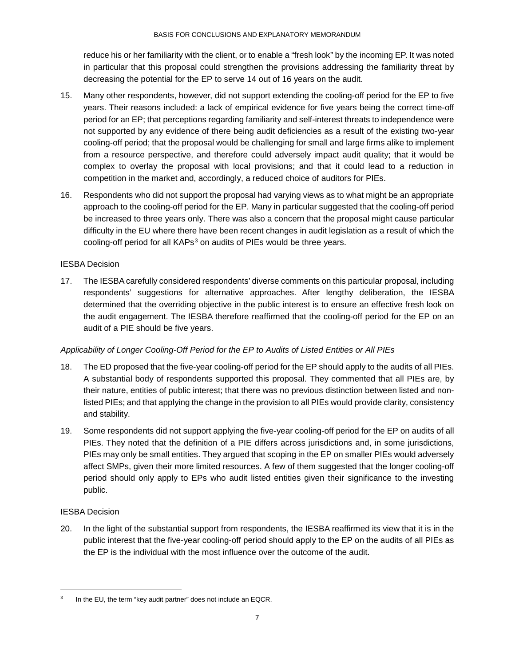reduce his or her familiarity with the client, or to enable a "fresh look" by the incoming EP. It was noted in particular that this proposal could strengthen the provisions addressing the familiarity threat by decreasing the potential for the EP to serve 14 out of 16 years on the audit.

- 15. Many other respondents, however, did not support extending the cooling-off period for the EP to five years. Their reasons included: a lack of empirical evidence for five years being the correct time-off period for an EP; that perceptions regarding familiarity and self-interest threats to independence were not supported by any evidence of there being audit deficiencies as a result of the existing two-year cooling-off period; that the proposal would be challenging for small and large firms alike to implement from a resource perspective, and therefore could adversely impact audit quality; that it would be complex to overlay the proposal with local provisions; and that it could lead to a reduction in competition in the market and, accordingly, a reduced choice of auditors for PIEs.
- 16. Respondents who did not support the proposal had varying views as to what might be an appropriate approach to the cooling-off period for the EP. Many in particular suggested that the cooling-off period be increased to three years only. There was also a concern that the proposal might cause particular difficulty in the EU where there have been recent changes in audit legislation as a result of which the cooling-off period for all KAPs<sup>[3](#page-6-0)</sup> on audits of PIEs would be three years.

## IESBA Decision

17. The IESBA carefully considered respondents' diverse comments on this particular proposal, including respondents' suggestions for alternative approaches. After lengthy deliberation, the IESBA determined that the overriding objective in the public interest is to ensure an effective fresh look on the audit engagement. The IESBA therefore reaffirmed that the cooling-off period for the EP on an audit of a PIE should be five years.

## *Applicability of Longer Cooling-Off Period for the EP to Audits of Listed Entities or All PIEs*

- 18. The ED proposed that the five-year cooling-off period for the EP should apply to the audits of all PIEs. A substantial body of respondents supported this proposal. They commented that all PIEs are, by their nature, entities of public interest; that there was no previous distinction between listed and nonlisted PIEs; and that applying the change in the provision to all PIEs would provide clarity, consistency and stability.
- 19. Some respondents did not support applying the five-year cooling-off period for the EP on audits of all PIEs. They noted that the definition of a PIE differs across jurisdictions and, in some jurisdictions, PIEs may only be small entities. They argued that scoping in the EP on smaller PIEs would adversely affect SMPs, given their more limited resources. A few of them suggested that the longer cooling-off period should only apply to EPs who audit listed entities given their significance to the investing public.

## IESBA Decision

20. In the light of the substantial support from respondents, the IESBA reaffirmed its view that it is in the public interest that the five-year cooling-off period should apply to the EP on the audits of all PIEs as the EP is the individual with the most influence over the outcome of the audit.

<span id="page-6-0"></span>In the EU, the term "key audit partner" does not include an EQCR.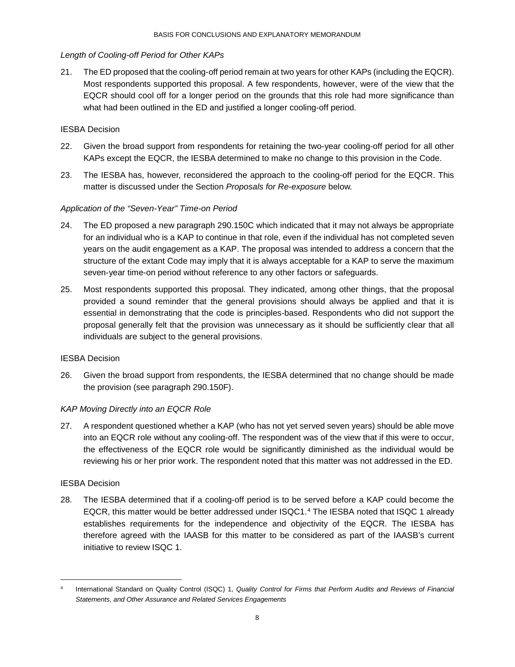#### *Length of Cooling-off Period for Other KAPs*

21. The ED proposed that the cooling-off period remain at two years for other KAPs (including the EQCR). Most respondents supported this proposal. A few respondents, however, were of the view that the EQCR should cool off for a longer period on the grounds that this role had more significance than what had been outlined in the ED and justified a longer cooling-off period.

## IESBA Decision

- 22. Given the broad support from respondents for retaining the two-year cooling-off period for all other KAPs except the EQCR, the IESBA determined to make no change to this provision in the Code.
- 23. The IESBA has, however, reconsidered the approach to the cooling-off period for the EQCR. This matter is discussed under the Section *Proposals for Re-exposure* below.

#### *Application of the "Seven-Year" Time-on Period*

- 24. The ED proposed a new paragraph 290.150C which indicated that it may not always be appropriate for an individual who is a KAP to continue in that role, even if the individual has not completed seven years on the audit engagement as a KAP. The proposal was intended to address a concern that the structure of the extant Code may imply that it is always acceptable for a KAP to serve the maximum seven-year time-on period without reference to any other factors or safeguards.
- 25. Most respondents supported this proposal. They indicated, among other things, that the proposal provided a sound reminder that the general provisions should always be applied and that it is essential in demonstrating that the code is principles-based. Respondents who did not support the proposal generally felt that the provision was unnecessary as it should be sufficiently clear that all individuals are subject to the general provisions.

#### IESBA Decision

26. Given the broad support from respondents, the IESBA determined that no change should be made the provision (see paragraph 290.150F).

## *KAP Moving Directly into an EQCR Role*

27. A respondent questioned whether a KAP (who has not yet served seven years) should be able move into an EQCR role without any cooling-off. The respondent was of the view that if this were to occur, the effectiveness of the EQCR role would be significantly diminished as the individual would be reviewing his or her prior work. The respondent noted that this matter was not addressed in the ED.

#### IESBA Decision

28. The IESBA determined that if a cooling-off period is to be served before a KAP could become the EQCR, this matter would be better addressed under ISQC1.[4](#page-7-0) The IESBA noted that ISQC 1 already establishes requirements for the independence and objectivity of the EQCR. The IESBA has therefore agreed with the IAASB for this matter to be considered as part of the IAASB's current initiative to review ISQC 1.

<span id="page-7-0"></span> <sup>4</sup> International Standard on Quality Control (ISQC) 1, *Quality Control for Firms that Perform Audits and Reviews of Financial Statements, and Other Assurance and Related Services Engagements*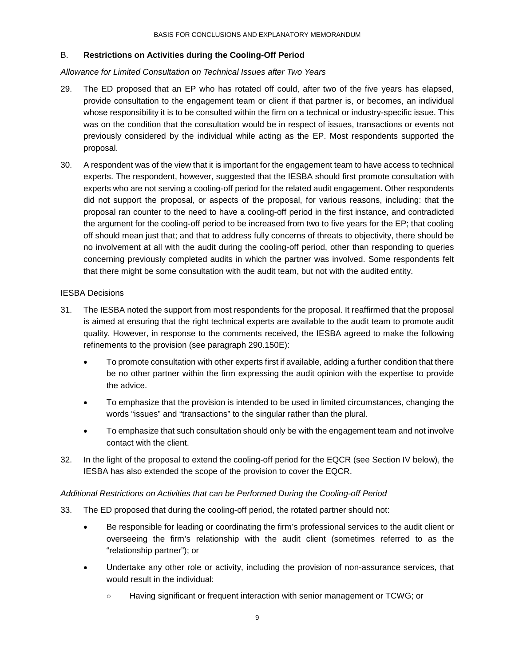#### B. **Restrictions on Activities during the Cooling-Off Period**

#### *Allowance for Limited Consultation on Technical Issues after Two Years*

- 29. The ED proposed that an EP who has rotated off could, after two of the five years has elapsed, provide consultation to the engagement team or client if that partner is, or becomes, an individual whose responsibility it is to be consulted within the firm on a technical or industry-specific issue. This was on the condition that the consultation would be in respect of issues, transactions or events not previously considered by the individual while acting as the EP. Most respondents supported the proposal.
- 30. A respondent was of the view that it is important for the engagement team to have access to technical experts. The respondent, however, suggested that the IESBA should first promote consultation with experts who are not serving a cooling-off period for the related audit engagement. Other respondents did not support the proposal, or aspects of the proposal, for various reasons, including: that the proposal ran counter to the need to have a cooling-off period in the first instance, and contradicted the argument for the cooling-off period to be increased from two to five years for the EP; that cooling off should mean just that; and that to address fully concerns of threats to objectivity, there should be no involvement at all with the audit during the cooling-off period, other than responding to queries concerning previously completed audits in which the partner was involved. Some respondents felt that there might be some consultation with the audit team, but not with the audited entity.

#### IESBA Decisions

- 31. The IESBA noted the support from most respondents for the proposal. It reaffirmed that the proposal is aimed at ensuring that the right technical experts are available to the audit team to promote audit quality. However, in response to the comments received, the IESBA agreed to make the following refinements to the provision (see paragraph 290.150E):
	- To promote consultation with other experts first if available, adding a further condition that there be no other partner within the firm expressing the audit opinion with the expertise to provide the advice.
	- To emphasize that the provision is intended to be used in limited circumstances, changing the words "issues" and "transactions" to the singular rather than the plural.
	- To emphasize that such consultation should only be with the engagement team and not involve contact with the client.
- 32. In the light of the proposal to extend the cooling-off period for the EQCR (see Section IV below), the IESBA has also extended the scope of the provision to cover the EQCR.

#### *Additional Restrictions on Activities that can be Performed During the Cooling-off Period*

- 33. The ED proposed that during the cooling-off period, the rotated partner should not:
	- Be responsible for leading or coordinating the firm's professional services to the audit client or overseeing the firm's relationship with the audit client (sometimes referred to as the "relationship partner"); or
	- Undertake any other role or activity, including the provision of non-assurance services, that would result in the individual:
		- Having significant or frequent interaction with senior management or TCWG; or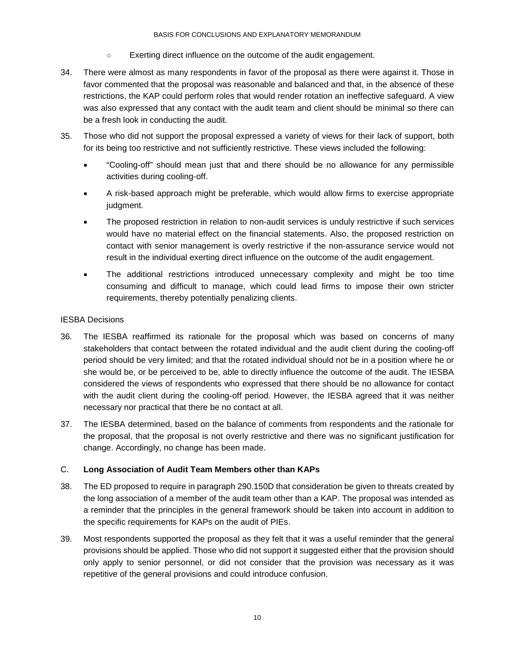- Exerting direct influence on the outcome of the audit engagement.
- 34. There were almost as many respondents in favor of the proposal as there were against it. Those in favor commented that the proposal was reasonable and balanced and that, in the absence of these restrictions, the KAP could perform roles that would render rotation an ineffective safeguard. A view was also expressed that any contact with the audit team and client should be minimal so there can be a fresh look in conducting the audit.
- 35. Those who did not support the proposal expressed a variety of views for their lack of support, both for its being too restrictive and not sufficiently restrictive. These views included the following:
	- "Cooling-off" should mean just that and there should be no allowance for any permissible activities during cooling-off.
	- A risk-based approach might be preferable, which would allow firms to exercise appropriate judgment.
	- The proposed restriction in relation to non-audit services is unduly restrictive if such services would have no material effect on the financial statements. Also, the proposed restriction on contact with senior management is overly restrictive if the non-assurance service would not result in the individual exerting direct influence on the outcome of the audit engagement.
	- The additional restrictions introduced unnecessary complexity and might be too time consuming and difficult to manage, which could lead firms to impose their own stricter requirements, thereby potentially penalizing clients.

#### IESBA Decisions

- 36. The IESBA reaffirmed its rationale for the proposal which was based on concerns of many stakeholders that contact between the rotated individual and the audit client during the cooling-off period should be very limited; and that the rotated individual should not be in a position where he or she would be, or be perceived to be, able to directly influence the outcome of the audit. The IESBA considered the views of respondents who expressed that there should be no allowance for contact with the audit client during the cooling-off period. However, the IESBA agreed that it was neither necessary nor practical that there be no contact at all.
- 37. The IESBA determined, based on the balance of comments from respondents and the rationale for the proposal, that the proposal is not overly restrictive and there was no significant justification for change. Accordingly, no change has been made.

## C. **Long Association of Audit Team Members other than KAPs**

- 38. The ED proposed to require in paragraph 290.150D that consideration be given to threats created by the long association of a member of the audit team other than a KAP. The proposal was intended as a reminder that the principles in the general framework should be taken into account in addition to the specific requirements for KAPs on the audit of PIEs.
- 39. Most respondents supported the proposal as they felt that it was a useful reminder that the general provisions should be applied. Those who did not support it suggested either that the provision should only apply to senior personnel, or did not consider that the provision was necessary as it was repetitive of the general provisions and could introduce confusion.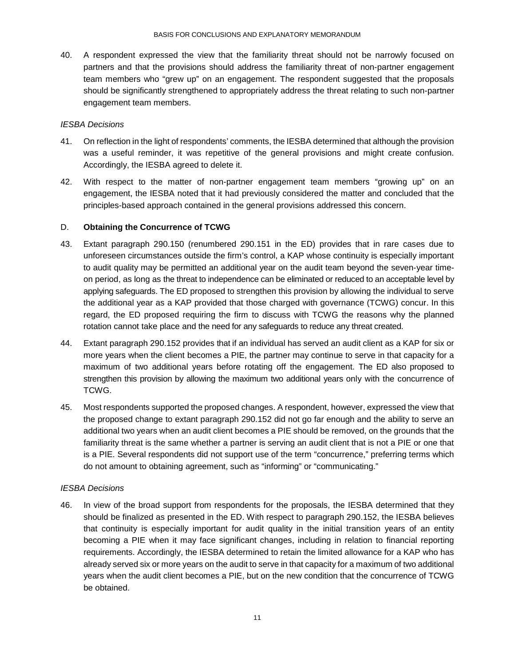40. A respondent expressed the view that the familiarity threat should not be narrowly focused on partners and that the provisions should address the familiarity threat of non-partner engagement team members who "grew up" on an engagement. The respondent suggested that the proposals should be significantly strengthened to appropriately address the threat relating to such non-partner engagement team members.

#### *IESBA Decisions*

- 41. On reflection in the light of respondents' comments, the IESBA determined that although the provision was a useful reminder, it was repetitive of the general provisions and might create confusion. Accordingly, the IESBA agreed to delete it.
- 42. With respect to the matter of non-partner engagement team members "growing up" on an engagement, the IESBA noted that it had previously considered the matter and concluded that the principles-based approach contained in the general provisions addressed this concern.

## D. **Obtaining the Concurrence of TCWG**

- 43. Extant paragraph 290.150 (renumbered 290.151 in the ED) provides that in rare cases due to unforeseen circumstances outside the firm's control, a KAP whose continuity is especially important to audit quality may be permitted an additional year on the audit team beyond the seven-year timeon period, as long as the threat to independence can be eliminated or reduced to an acceptable level by applying safeguards. The ED proposed to strengthen this provision by allowing the individual to serve the additional year as a KAP provided that those charged with governance (TCWG) concur. In this regard, the ED proposed requiring the firm to discuss with TCWG the reasons why the planned rotation cannot take place and the need for any safeguards to reduce any threat created.
- 44. Extant paragraph 290.152 provides that if an individual has served an audit client as a KAP for six or more years when the client becomes a PIE, the partner may continue to serve in that capacity for a maximum of two additional years before rotating off the engagement. The ED also proposed to strengthen this provision by allowing the maximum two additional years only with the concurrence of TCWG.
- 45. Most respondents supported the proposed changes. A respondent, however, expressed the view that the proposed change to extant paragraph 290.152 did not go far enough and the ability to serve an additional two years when an audit client becomes a PIE should be removed, on the grounds that the familiarity threat is the same whether a partner is serving an audit client that is not a PIE or one that is a PIE. Several respondents did not support use of the term "concurrence," preferring terms which do not amount to obtaining agreement, such as "informing" or "communicating."

## *IESBA Decisions*

46. In view of the broad support from respondents for the proposals, the IESBA determined that they should be finalized as presented in the ED. With respect to paragraph 290.152, the IESBA believes that continuity is especially important for audit quality in the initial transition years of an entity becoming a PIE when it may face significant changes, including in relation to financial reporting requirements. Accordingly, the IESBA determined to retain the limited allowance for a KAP who has already served six or more years on the audit to serve in that capacity for a maximum of two additional years when the audit client becomes a PIE, but on the new condition that the concurrence of TCWG be obtained.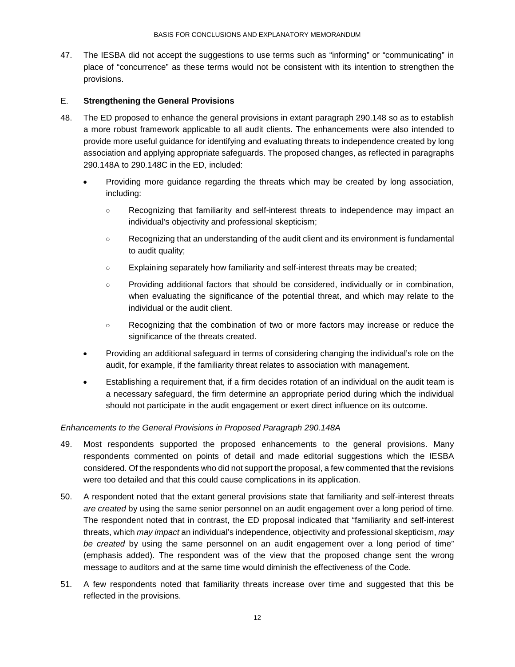47. The IESBA did not accept the suggestions to use terms such as "informing" or "communicating" in place of "concurrence" as these terms would not be consistent with its intention to strengthen the provisions.

#### E. **Strengthening the General Provisions**

- 48. The ED proposed to enhance the general provisions in extant paragraph 290.148 so as to establish a more robust framework applicable to all audit clients. The enhancements were also intended to provide more useful guidance for identifying and evaluating threats to independence created by long association and applying appropriate safeguards. The proposed changes, as reflected in paragraphs 290.148A to 290.148C in the ED, included:
	- Providing more guidance regarding the threats which may be created by long association, including:
		- Recognizing that familiarity and self-interest threats to independence may impact an individual's objectivity and professional skepticism;
		- Recognizing that an understanding of the audit client and its environment is fundamental to audit quality;
		- Explaining separately how familiarity and self-interest threats may be created;
		- Providing additional factors that should be considered, individually or in combination, when evaluating the significance of the potential threat, and which may relate to the individual or the audit client.
		- Recognizing that the combination of two or more factors may increase or reduce the significance of the threats created.
	- Providing an additional safeguard in terms of considering changing the individual's role on the audit, for example, if the familiarity threat relates to association with management.
	- Establishing a requirement that, if a firm decides rotation of an individual on the audit team is a necessary safeguard, the firm determine an appropriate period during which the individual should not participate in the audit engagement or exert direct influence on its outcome.

## *Enhancements to the General Provisions in Proposed Paragraph 290.148A*

- 49. Most respondents supported the proposed enhancements to the general provisions. Many respondents commented on points of detail and made editorial suggestions which the IESBA considered. Of the respondents who did not support the proposal, a few commented that the revisions were too detailed and that this could cause complications in its application.
- 50. A respondent noted that the extant general provisions state that familiarity and self-interest threats *are created* by using the same senior personnel on an audit engagement over a long period of time. The respondent noted that in contrast, the ED proposal indicated that "familiarity and self-interest threats, which *may impact* an individual's independence, objectivity and professional skepticism, *may be created* by using the same personnel on an audit engagement over a long period of time" (emphasis added). The respondent was of the view that the proposed change sent the wrong message to auditors and at the same time would diminish the effectiveness of the Code.
- 51. A few respondents noted that familiarity threats increase over time and suggested that this be reflected in the provisions.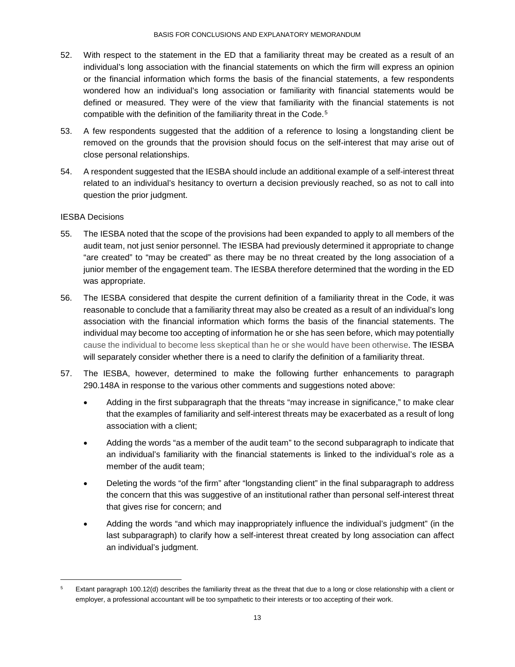- 52. With respect to the statement in the ED that a familiarity threat may be created as a result of an individual's long association with the financial statements on which the firm will express an opinion or the financial information which forms the basis of the financial statements, a few respondents wondered how an individual's long association or familiarity with financial statements would be defined or measured. They were of the view that familiarity with the financial statements is not compatible with the definition of the familiarity threat in the Code.<sup>[5](#page-12-0)</sup>
- 53. A few respondents suggested that the addition of a reference to losing a longstanding client be removed on the grounds that the provision should focus on the self-interest that may arise out of close personal relationships.
- 54. A respondent suggested that the IESBA should include an additional example of a self-interest threat related to an individual's hesitancy to overturn a decision previously reached, so as not to call into question the prior judgment.

## IESBA Decisions

- 55. The IESBA noted that the scope of the provisions had been expanded to apply to all members of the audit team, not just senior personnel. The IESBA had previously determined it appropriate to change "are created" to "may be created" as there may be no threat created by the long association of a junior member of the engagement team. The IESBA therefore determined that the wording in the ED was appropriate.
- 56. The IESBA considered that despite the current definition of a familiarity threat in the Code, it was reasonable to conclude that a familiarity threat may also be created as a result of an individual's long association with the financial information which forms the basis of the financial statements. The individual may become too accepting of information he or she has seen before, which may potentially cause the individual to become less skeptical than he or she would have been otherwise. The IESBA will separately consider whether there is a need to clarify the definition of a familiarity threat.
- 57. The IESBA, however, determined to make the following further enhancements to paragraph 290.148A in response to the various other comments and suggestions noted above:
	- Adding in the first subparagraph that the threats "may increase in significance," to make clear that the examples of familiarity and self-interest threats may be exacerbated as a result of long association with a client;
	- Adding the words "as a member of the audit team" to the second subparagraph to indicate that an individual's familiarity with the financial statements is linked to the individual's role as a member of the audit team;
	- Deleting the words "of the firm" after "longstanding client" in the final subparagraph to address the concern that this was suggestive of an institutional rather than personal self-interest threat that gives rise for concern; and
	- Adding the words "and which may inappropriately influence the individual's judgment" (in the last subparagraph) to clarify how a self-interest threat created by long association can affect an individual's judgment.

<span id="page-12-0"></span>Extant paragraph 100.12(d) describes the familiarity threat as the threat that due to a long or close relationship with a client or employer, a professional accountant will be too sympathetic to their interests or too accepting of their work.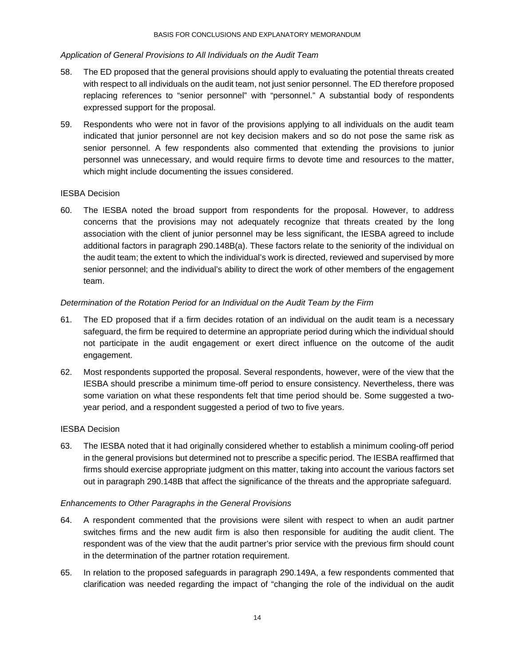#### *Application of General Provisions to All Individuals on the Audit Team*

- 58. The ED proposed that the general provisions should apply to evaluating the potential threats created with respect to all individuals on the audit team, not just senior personnel. The ED therefore proposed replacing references to "senior personnel" with "personnel." A substantial body of respondents expressed support for the proposal.
- 59. Respondents who were not in favor of the provisions applying to all individuals on the audit team indicated that junior personnel are not key decision makers and so do not pose the same risk as senior personnel. A few respondents also commented that extending the provisions to junior personnel was unnecessary, and would require firms to devote time and resources to the matter, which might include documenting the issues considered.

#### IESBA Decision

60. The IESBA noted the broad support from respondents for the proposal. However, to address concerns that the provisions may not adequately recognize that threats created by the long association with the client of junior personnel may be less significant, the IESBA agreed to include additional factors in paragraph 290.148B(a). These factors relate to the seniority of the individual on the audit team; the extent to which the individual's work is directed, reviewed and supervised by more senior personnel; and the individual's ability to direct the work of other members of the engagement team.

#### *Determination of the Rotation Period for an Individual on the Audit Team by the Firm*

- 61. The ED proposed that if a firm decides rotation of an individual on the audit team is a necessary safeguard, the firm be required to determine an appropriate period during which the individual should not participate in the audit engagement or exert direct influence on the outcome of the audit engagement.
- 62. Most respondents supported the proposal. Several respondents, however, were of the view that the IESBA should prescribe a minimum time-off period to ensure consistency. Nevertheless, there was some variation on what these respondents felt that time period should be. Some suggested a twoyear period, and a respondent suggested a period of two to five years.

#### IESBA Decision

63. The IESBA noted that it had originally considered whether to establish a minimum cooling-off period in the general provisions but determined not to prescribe a specific period. The IESBA reaffirmed that firms should exercise appropriate judgment on this matter, taking into account the various factors set out in paragraph 290.148B that affect the significance of the threats and the appropriate safeguard.

#### *Enhancements to Other Paragraphs in the General Provisions*

- 64. A respondent commented that the provisions were silent with respect to when an audit partner switches firms and the new audit firm is also then responsible for auditing the audit client. The respondent was of the view that the audit partner's prior service with the previous firm should count in the determination of the partner rotation requirement.
- 65. In relation to the proposed safeguards in paragraph 290.149A, a few respondents commented that clarification was needed regarding the impact of "changing the role of the individual on the audit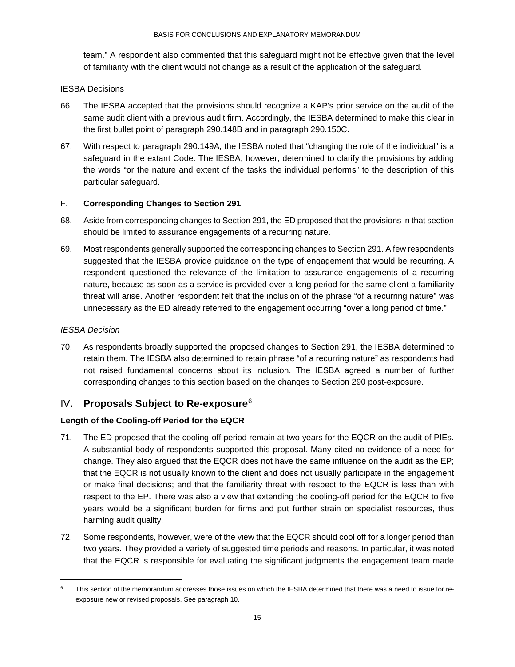team." A respondent also commented that this safeguard might not be effective given that the level of familiarity with the client would not change as a result of the application of the safeguard.

#### IESBA Decisions

- 66. The IESBA accepted that the provisions should recognize a KAP's prior service on the audit of the same audit client with a previous audit firm. Accordingly, the IESBA determined to make this clear in the first bullet point of paragraph 290.148B and in paragraph 290.150C.
- 67. With respect to paragraph 290.149A, the IESBA noted that "changing the role of the individual" is a safeguard in the extant Code. The IESBA, however, determined to clarify the provisions by adding the words "or the nature and extent of the tasks the individual performs" to the description of this particular safeguard.

#### F. **Corresponding Changes to Section 291**

- 68. Aside from corresponding changes to Section 291, the ED proposed that the provisions in that section should be limited to assurance engagements of a recurring nature.
- 69. Most respondents generally supported the corresponding changes to Section 291. A few respondents suggested that the IESBA provide guidance on the type of engagement that would be recurring. A respondent questioned the relevance of the limitation to assurance engagements of a recurring nature, because as soon as a service is provided over a long period for the same client a familiarity threat will arise. Another respondent felt that the inclusion of the phrase "of a recurring nature" was unnecessary as the ED already referred to the engagement occurring "over a long period of time."

#### *IESBA Decision*

70. As respondents broadly supported the proposed changes to Section 291, the IESBA determined to retain them. The IESBA also determined to retain phrase "of a recurring nature" as respondents had not raised fundamental concerns about its inclusion. The IESBA agreed a number of further corresponding changes to this section based on the changes to Section 290 post-exposure.

## <span id="page-14-0"></span>IV**. Proposals Subject to Re-exposure**[6](#page-14-1)

#### **Length of the Cooling-off Period for the EQCR**

- 71. The ED proposed that the cooling-off period remain at two years for the EQCR on the audit of PIEs. A substantial body of respondents supported this proposal. Many cited no evidence of a need for change. They also argued that the EQCR does not have the same influence on the audit as the EP; that the EQCR is not usually known to the client and does not usually participate in the engagement or make final decisions; and that the familiarity threat with respect to the EQCR is less than with respect to the EP. There was also a view that extending the cooling-off period for the EQCR to five years would be a significant burden for firms and put further strain on specialist resources, thus harming audit quality.
- 72. Some respondents, however, were of the view that the EQCR should cool off for a longer period than two years. They provided a variety of suggested time periods and reasons. In particular, it was noted that the EQCR is responsible for evaluating the significant judgments the engagement team made

<span id="page-14-1"></span>This section of the memorandum addresses those issues on which the IESBA determined that there was a need to issue for reexposure new or revised proposals. See paragraph 10.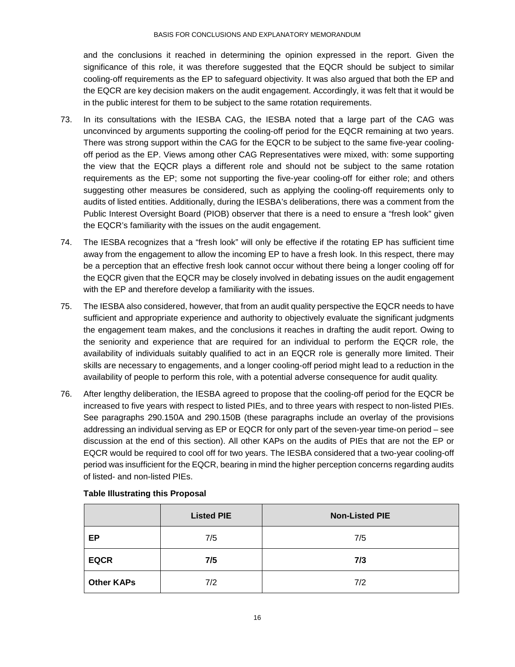#### BASIS FOR CONCLUSIONS AND EXPLANATORY MEMORANDUM

and the conclusions it reached in determining the opinion expressed in the report. Given the significance of this role, it was therefore suggested that the EQCR should be subject to similar cooling-off requirements as the EP to safeguard objectivity. It was also argued that both the EP and the EQCR are key decision makers on the audit engagement. Accordingly, it was felt that it would be in the public interest for them to be subject to the same rotation requirements.

- 73. In its consultations with the IESBA CAG, the IESBA noted that a large part of the CAG was unconvinced by arguments supporting the cooling-off period for the EQCR remaining at two years. There was strong support within the CAG for the EQCR to be subject to the same five-year coolingoff period as the EP. Views among other CAG Representatives were mixed, with: some supporting the view that the EQCR plays a different role and should not be subject to the same rotation requirements as the EP; some not supporting the five-year cooling-off for either role; and others suggesting other measures be considered, such as applying the cooling-off requirements only to audits of listed entities. Additionally, during the IESBA's deliberations, there was a comment from the Public Interest Oversight Board (PIOB) observer that there is a need to ensure a "fresh look" given the EQCR's familiarity with the issues on the audit engagement.
- 74. The IESBA recognizes that a "fresh look" will only be effective if the rotating EP has sufficient time away from the engagement to allow the incoming EP to have a fresh look. In this respect, there may be a perception that an effective fresh look cannot occur without there being a longer cooling off for the EQCR given that the EQCR may be closely involved in debating issues on the audit engagement with the EP and therefore develop a familiarity with the issues.
- 75. The IESBA also considered, however, that from an audit quality perspective the EQCR needs to have sufficient and appropriate experience and authority to objectively evaluate the significant judgments the engagement team makes, and the conclusions it reaches in drafting the audit report. Owing to the seniority and experience that are required for an individual to perform the EQCR role, the availability of individuals suitably qualified to act in an EQCR role is generally more limited. Their skills are necessary to engagements, and a longer cooling-off period might lead to a reduction in the availability of people to perform this role, with a potential adverse consequence for audit quality.
- 76. After lengthy deliberation, the IESBA agreed to propose that the cooling-off period for the EQCR be increased to five years with respect to listed PIEs, and to three years with respect to non-listed PIEs. See paragraphs 290.150A and 290.150B (these paragraphs include an overlay of the provisions addressing an individual serving as EP or EQCR for only part of the seven-year time-on period – see discussion at the end of this section). All other KAPs on the audits of PIEs that are not the EP or EQCR would be required to cool off for two years. The IESBA considered that a two-year cooling-off period was insufficient for the EQCR, bearing in mind the higher perception concerns regarding audits of listed- and non-listed PIEs.

|                   | <b>Listed PIE</b> | <b>Non-Listed PIE</b> |
|-------------------|-------------------|-----------------------|
| EP                | 7/5               | 7/5                   |
| <b>EQCR</b>       | 7/5               | 7/3                   |
| <b>Other KAPs</b> | 7/2               | 7/2                   |

## **Table Illustrating this Proposal**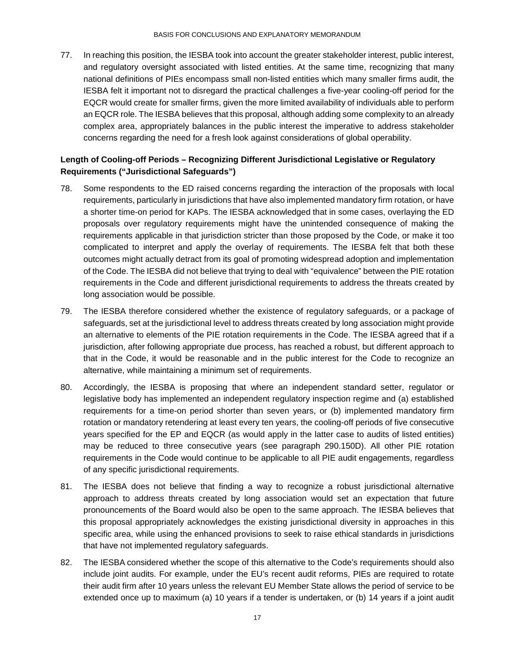77. In reaching this position, the IESBA took into account the greater stakeholder interest, public interest, and regulatory oversight associated with listed entities. At the same time, recognizing that many national definitions of PIEs encompass small non-listed entities which many smaller firms audit, the IESBA felt it important not to disregard the practical challenges a five-year cooling-off period for the EQCR would create for smaller firms, given the more limited availability of individuals able to perform an EQCR role. The IESBA believes that this proposal, although adding some complexity to an already complex area, appropriately balances in the public interest the imperative to address stakeholder concerns regarding the need for a fresh look against considerations of global operability.

## **Length of Cooling-off Periods – Recognizing Different Jurisdictional Legislative or Regulatory Requirements ("Jurisdictional Safeguards")**

- 78. Some respondents to the ED raised concerns regarding the interaction of the proposals with local requirements, particularly in jurisdictions that have also implemented mandatory firm rotation, or have a shorter time-on period for KAPs. The IESBA acknowledged that in some cases, overlaying the ED proposals over regulatory requirements might have the unintended consequence of making the requirements applicable in that jurisdiction stricter than those proposed by the Code, or make it too complicated to interpret and apply the overlay of requirements. The IESBA felt that both these outcomes might actually detract from its goal of promoting widespread adoption and implementation of the Code. The IESBA did not believe that trying to deal with "equivalence" between the PIE rotation requirements in the Code and different jurisdictional requirements to address the threats created by long association would be possible.
- 79. The IESBA therefore considered whether the existence of regulatory safeguards, or a package of safeguards, set at the jurisdictional level to address threats created by long association might provide an alternative to elements of the PIE rotation requirements in the Code. The IESBA agreed that if a jurisdiction, after following appropriate due process, has reached a robust, but different approach to that in the Code, it would be reasonable and in the public interest for the Code to recognize an alternative, while maintaining a minimum set of requirements.
- 80. Accordingly, the IESBA is proposing that where an independent standard setter, regulator or legislative body has implemented an independent regulatory inspection regime and (a) established requirements for a time-on period shorter than seven years, or (b) implemented mandatory firm rotation or mandatory retendering at least every ten years, the cooling-off periods of five consecutive years specified for the EP and EQCR (as would apply in the latter case to audits of listed entities) may be reduced to three consecutive years (see paragraph 290.150D). All other PIE rotation requirements in the Code would continue to be applicable to all PIE audit engagements, regardless of any specific jurisdictional requirements.
- 81. The IESBA does not believe that finding a way to recognize a robust jurisdictional alternative approach to address threats created by long association would set an expectation that future pronouncements of the Board would also be open to the same approach. The IESBA believes that this proposal appropriately acknowledges the existing jurisdictional diversity in approaches in this specific area, while using the enhanced provisions to seek to raise ethical standards in jurisdictions that have not implemented regulatory safeguards.
- 82. The IESBA considered whether the scope of this alternative to the Code's requirements should also include joint audits. For example, under the EU's recent audit reforms, PIEs are required to rotate their audit firm after 10 years unless the relevant EU Member State allows the period of service to be extended once up to maximum (a) 10 years if a tender is undertaken, or (b) 14 years if a joint audit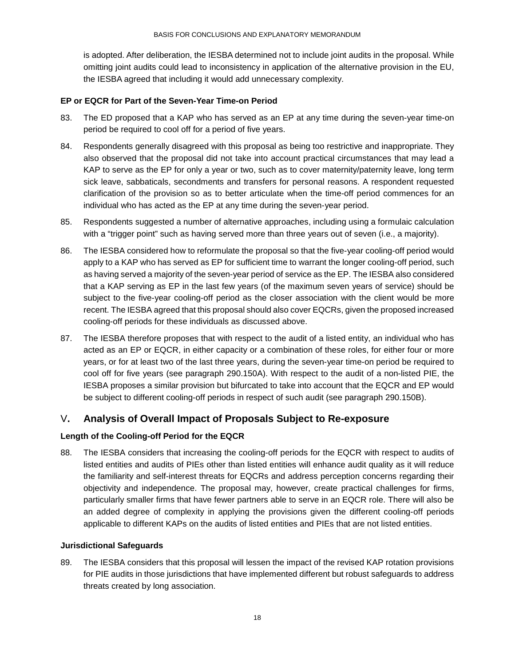is adopted. After deliberation, the IESBA determined not to include joint audits in the proposal. While omitting joint audits could lead to inconsistency in application of the alternative provision in the EU, the IESBA agreed that including it would add unnecessary complexity.

#### **EP or EQCR for Part of the Seven-Year Time-on Period**

- 83. The ED proposed that a KAP who has served as an EP at any time during the seven-year time-on period be required to cool off for a period of five years.
- 84. Respondents generally disagreed with this proposal as being too restrictive and inappropriate. They also observed that the proposal did not take into account practical circumstances that may lead a KAP to serve as the EP for only a year or two, such as to cover maternity/paternity leave, long term sick leave, sabbaticals, secondments and transfers for personal reasons. A respondent requested clarification of the provision so as to better articulate when the time-off period commences for an individual who has acted as the EP at any time during the seven-year period.
- 85. Respondents suggested a number of alternative approaches, including using a formulaic calculation with a "trigger point" such as having served more than three years out of seven (i.e., a majority).
- 86. The IESBA considered how to reformulate the proposal so that the five-year cooling-off period would apply to a KAP who has served as EP for sufficient time to warrant the longer cooling-off period, such as having served a majority of the seven-year period of service as the EP. The IESBA also considered that a KAP serving as EP in the last few years (of the maximum seven years of service) should be subject to the five-year cooling-off period as the closer association with the client would be more recent. The IESBA agreed that this proposal should also cover EQCRs, given the proposed increased cooling-off periods for these individuals as discussed above.
- 87. The IESBA therefore proposes that with respect to the audit of a listed entity, an individual who has acted as an EP or EQCR, in either capacity or a combination of these roles, for either four or more years, or for at least two of the last three years, during the seven-year time-on period be required to cool off for five years (see paragraph 290.150A). With respect to the audit of a non-listed PIE, the IESBA proposes a similar provision but bifurcated to take into account that the EQCR and EP would be subject to different cooling-off periods in respect of such audit (see paragraph 290.150B).

## <span id="page-17-0"></span>V**. Analysis of Overall Impact of Proposals Subject to Re-exposure**

## **Length of the Cooling-off Period for the EQCR**

88. The IESBA considers that increasing the cooling-off periods for the EQCR with respect to audits of listed entities and audits of PIEs other than listed entities will enhance audit quality as it will reduce the familiarity and self-interest threats for EQCRs and address perception concerns regarding their objectivity and independence. The proposal may, however, create practical challenges for firms, particularly smaller firms that have fewer partners able to serve in an EQCR role. There will also be an added degree of complexity in applying the provisions given the different cooling-off periods applicable to different KAPs on the audits of listed entities and PIEs that are not listed entities.

#### **Jurisdictional Safeguards**

89. The IESBA considers that this proposal will lessen the impact of the revised KAP rotation provisions for PIE audits in those jurisdictions that have implemented different but robust safeguards to address threats created by long association.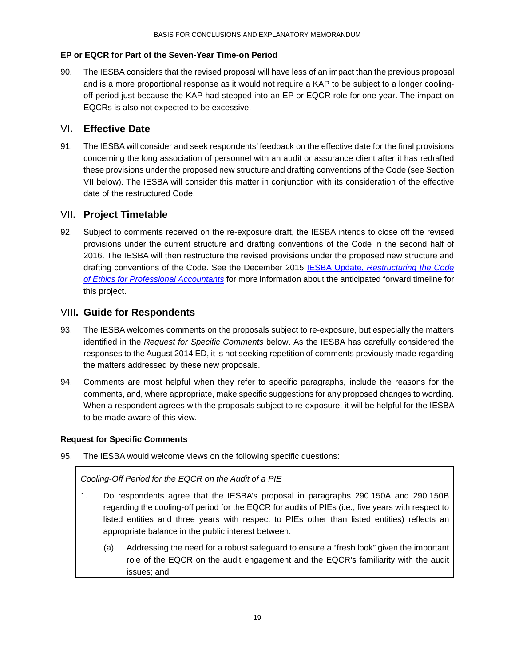## **EP or EQCR for Part of the Seven-Year Time-on Period**

90. The IESBA considers that the revised proposal will have less of an impact than the previous proposal and is a more proportional response as it would not require a KAP to be subject to a longer coolingoff period just because the KAP had stepped into an EP or EQCR role for one year. The impact on EQCRs is also not expected to be excessive.

## <span id="page-18-0"></span>VI**. Effective Date**

91. The IESBA will consider and seek respondents' feedback on the effective date for the final provisions concerning the long association of personnel with an audit or assurance client after it has redrafted these provisions under the proposed new structure and drafting conventions of the Code (see Section VII below). The IESBA will consider this matter in conjunction with its consideration of the effective date of the restructured Code.

## <span id="page-18-1"></span>VII**. Project Timetable**

92. Subject to comments received on the re-exposure draft, the IESBA intends to close off the revised provisions under the current structure and drafting conventions of the Code in the second half of 2016. The IESBA will then restructure the revised provisions under the proposed new structure and drafting conventions of the Code. See the December 2015 IESBA Update, *[Restructuring the Code](http://ifac.us7.list-manage1.com/track/click?u=9e7d9671563ff754a328b2833&id=0c26c17898&e=349c92b6b4)  [of Ethics for Professional Accountants](http://ifac.us7.list-manage1.com/track/click?u=9e7d9671563ff754a328b2833&id=0c26c17898&e=349c92b6b4)* for more information about the anticipated forward timeline for this project.

## <span id="page-18-2"></span>VIII**. Guide for Respondents**

- 93. The IESBA welcomes comments on the proposals subject to re-exposure, but especially the matters identified in the *Request for Specific Comments* below. As the IESBA has carefully considered the responses to the August 2014 ED, it is not seeking repetition of comments previously made regarding the matters addressed by these new proposals.
- 94. Comments are most helpful when they refer to specific paragraphs, include the reasons for the comments, and, where appropriate, make specific suggestions for any proposed changes to wording. When a respondent agrees with the proposals subject to re-exposure, it will be helpful for the IESBA to be made aware of this view.

## **Request for Specific Comments**

95. The IESBA would welcome views on the following specific questions:

*Cooling-Off Period for the EQCR on the Audit of a PIE*

- 1. Do respondents agree that the IESBA's proposal in paragraphs 290.150A and 290.150B regarding the cooling-off period for the EQCR for audits of PIEs (i.e., five years with respect to listed entities and three years with respect to PIEs other than listed entities) reflects an appropriate balance in the public interest between:
	- (a) Addressing the need for a robust safeguard to ensure a "fresh look" given the important role of the EQCR on the audit engagement and the EQCR's familiarity with the audit issues; and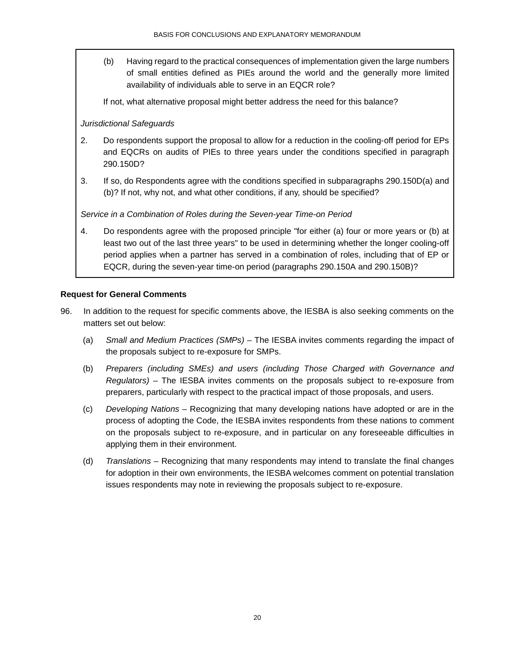(b) Having regard to the practical consequences of implementation given the large numbers of small entities defined as PIEs around the world and the generally more limited availability of individuals able to serve in an EQCR role?

If not, what alternative proposal might better address the need for this balance?

#### *Jurisdictional Safeguards*

- 2. Do respondents support the proposal to allow for a reduction in the cooling-off period for EPs and EQCRs on audits of PIEs to three years under the conditions specified in paragraph 290.150D?
- 3. If so, do Respondents agree with the conditions specified in subparagraphs 290.150D(a) and (b)? If not, why not, and what other conditions, if any, should be specified?

#### *Service in a Combination of Roles during the Seven-year Time-on Period*

4. Do respondents agree with the proposed principle "for either (a) four or more years or (b) at least two out of the last three years" to be used in determining whether the longer cooling-off period applies when a partner has served in a combination of roles, including that of EP or EQCR, during the seven-year time-on period (paragraphs 290.150A and 290.150B)?

#### **Request for General Comments**

- 96. In addition to the request for specific comments above, the IESBA is also seeking comments on the matters set out below:
	- (a) *Small and Medium Practices (SMPs) –* The IESBA invites comments regarding the impact of the proposals subject to re-exposure for SMPs.
	- (b) *Preparers (including SMEs) and users (including Those Charged with Governance and Regulators) –* The IESBA invites comments on the proposals subject to re-exposure from preparers, particularly with respect to the practical impact of those proposals, and users.
	- (c) *Developing Nations –* Recognizing that many developing nations have adopted or are in the process of adopting the Code, the IESBA invites respondents from these nations to comment on the proposals subject to re-exposure, and in particular on any foreseeable difficulties in applying them in their environment.
	- (d) *Translations –* Recognizing that many respondents may intend to translate the final changes for adoption in their own environments, the IESBA welcomes comment on potential translation issues respondents may note in reviewing the proposals subject to re-exposure.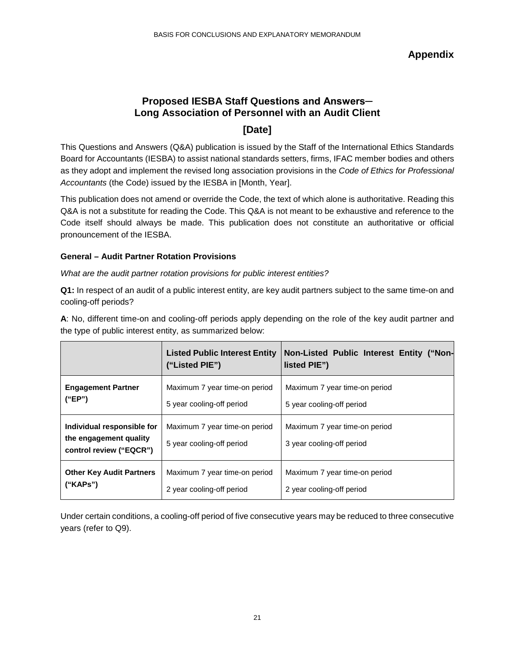**Appendix**

## <span id="page-20-0"></span>**Proposed IESBA Staff Questions and Answers─ Long Association of Personnel with an Audit Client**

## **[Date]**

This Questions and Answers (Q&A) publication is issued by the Staff of the International Ethics Standards Board for Accountants (IESBA) to assist national standards setters, firms, IFAC member bodies and others as they adopt and implement the revised long association provisions in the *Code of Ethics for Professional Accountants* (the Code) issued by the IESBA in [Month, Year].

This publication does not amend or override the Code, the text of which alone is authoritative. Reading this Q&A is not a substitute for reading the Code. This Q&A is not meant to be exhaustive and reference to the Code itself should always be made. This publication does not constitute an authoritative or official pronouncement of the IESBA.

#### **General – Audit Partner Rotation Provisions**

*What are the audit partner rotation provisions for public interest entities?*

**Q1:** In respect of an audit of a public interest entity, are key audit partners subject to the same time-on and cooling-off periods?

**A**: No, different time-on and cooling-off periods apply depending on the role of the key audit partner and the type of public interest entity, as summarized below:

|                                                                                 | <b>Listed Public Interest Entity</b><br>("Listed PIE")     | Non-Listed Public Interest Entity ("Non-<br>listed PIE")   |
|---------------------------------------------------------------------------------|------------------------------------------------------------|------------------------------------------------------------|
| <b>Engagement Partner</b>                                                       | Maximum 7 year time-on period                              | Maximum 7 year time-on period                              |
| ("EP")                                                                          | 5 year cooling-off period                                  | 5 year cooling-off period                                  |
| Individual responsible for<br>the engagement quality<br>control review ("EQCR") | Maximum 7 year time-on period<br>5 year cooling-off period | Maximum 7 year time-on period<br>3 year cooling-off period |
| <b>Other Key Audit Partners</b>                                                 | Maximum 7 year time-on period                              | Maximum 7 year time-on period                              |
| ("KAPS")                                                                        | 2 year cooling-off period                                  | 2 year cooling-off period                                  |

Under certain conditions, a cooling-off period of five consecutive years may be reduced to three consecutive years (refer to Q9).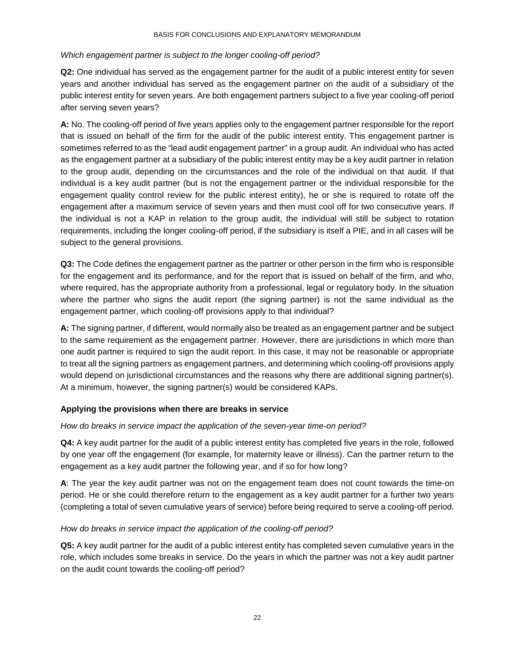#### *Which engagement partner is subject to the longer cooling-off period?*

**Q2:** One individual has served as the engagement partner for the audit of a public interest entity for seven years and another individual has served as the engagement partner on the audit of a subsidiary of the public interest entity for seven years. Are both engagement partners subject to a five year cooling-off period after serving seven years?

**A:** No. The cooling-off period of five years applies only to the engagement partner responsible for the report that is issued on behalf of the firm for the audit of the public interest entity. This engagement partner is sometimes referred to as the "lead audit engagement partner" in a group audit. An individual who has acted as the engagement partner at a subsidiary of the public interest entity may be a key audit partner in relation to the group audit, depending on the circumstances and the role of the individual on that audit. If that individual is a key audit partner (but is not the engagement partner or the individual responsible for the engagement quality control review for the public interest entity), he or she is required to rotate off the engagement after a maximum service of seven years and then must cool off for two consecutive years. If the individual is not a KAP in relation to the group audit, the individual will still be subject to rotation requirements, including the longer cooling-off period, if the subsidiary is itself a PIE, and in all cases will be subject to the general provisions.

**Q3:** The Code defines the engagement partner as the partner or other person in the firm who is responsible for the engagement and its performance, and for the report that is issued on behalf of the firm, and who, where required, has the appropriate authority from a professional, legal or regulatory body. In the situation where the partner who signs the audit report (the signing partner) is not the same individual as the engagement partner, which cooling-off provisions apply to that individual?

**A:** The signing partner, if different, would normally also be treated as an engagement partner and be subject to the same requirement as the engagement partner. However, there are jurisdictions in which more than one audit partner is required to sign the audit report. In this case, it may not be reasonable or appropriate to treat all the signing partners as engagement partners, and determining which cooling-off provisions apply would depend on jurisdictional circumstances and the reasons why there are additional signing partner(s). At a minimum, however, the signing partner(s) would be considered KAPs.

## **Applying the provisions when there are breaks in service**

#### *How do breaks in service impact the application of the seven-year time-on period?*

**Q4:** A key audit partner for the audit of a public interest entity has completed five years in the role, followed by one year off the engagement (for example, for maternity leave or illness). Can the partner return to the engagement as a key audit partner the following year, and if so for how long?

**A**: The year the key audit partner was not on the engagement team does not count towards the time-on period. He or she could therefore return to the engagement as a key audit partner for a further two years (completing a total of seven cumulative years of service) before being required to serve a cooling-off period.

#### *How do breaks in service impact the application of the cooling-off period?*

**Q5:** A key audit partner for the audit of a public interest entity has completed seven cumulative years in the role, which includes some breaks in service. Do the years in which the partner was not a key audit partner on the audit count towards the cooling-off period?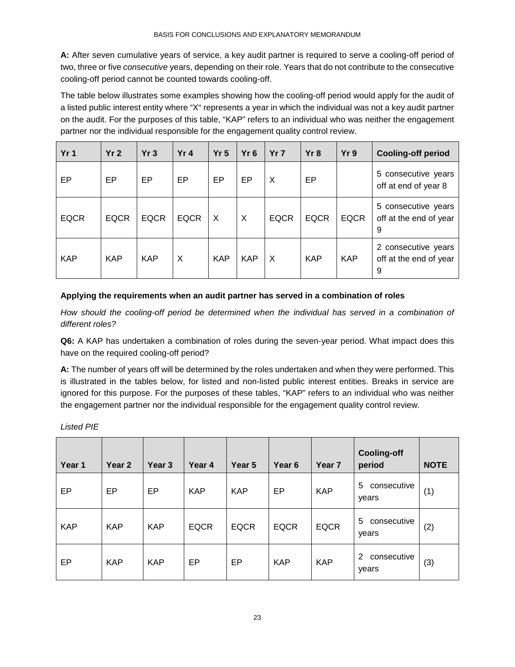**A:** After seven cumulative years of service, a key audit partner is required to serve a cooling-off period of two, three or five *consecutive* years, depending on their role. Years that do not contribute to the consecutive cooling-off period cannot be counted towards cooling-off.

The table below illustrates some examples showing how the cooling-off period would apply for the audit of a listed public interest entity where "X" represents a year in which the individual was not a key audit partner on the audit. For the purposes of this table, "KAP" refers to an individual who was neither the engagement partner nor the individual responsible for the engagement quality control review.

| Yr <sub>1</sub> | Yr <sub>2</sub> | Yr3         | Yr <sub>4</sub> | Yr <sub>5</sub> | Yr <sub>6</sub> | Yr <sub>7</sub> | Yr8         | Yr 9        | <b>Cooling-off period</b>                          |
|-----------------|-----------------|-------------|-----------------|-----------------|-----------------|-----------------|-------------|-------------|----------------------------------------------------|
| EP              | EP              | EP          | EP              | EP              | EP              | X               | EP          |             | 5 consecutive years<br>off at end of year 8        |
| <b>EQCR</b>     | <b>EQCR</b>     | <b>EQCR</b> | <b>EQCR</b>     | X               | $\times$        | <b>EQCR</b>     | <b>EQCR</b> | <b>EQCR</b> | 5 consecutive years<br>off at the end of year<br>9 |
| <b>KAP</b>      | <b>KAP</b>      | <b>KAP</b>  | X               | <b>KAP</b>      | <b>KAP</b>      | X               | <b>KAP</b>  | <b>KAP</b>  | 2 consecutive years<br>off at the end of year<br>9 |

#### **Applying the requirements when an audit partner has served in a combination of roles**

*How should the cooling-off period be determined when the individual has served in a combination of different roles?* 

**Q6:** A KAP has undertaken a combination of roles during the seven-year period. What impact does this have on the required cooling-off period?

**A:** The number of years off will be determined by the roles undertaken and when they were performed. This is illustrated in the tables below, for listed and non-listed public interest entities. Breaks in service are ignored for this purpose. For the purposes of these tables, "KAP" refers to an individual who was neither the engagement partner nor the individual responsible for the engagement quality control review.

*Listed PIE*

| Year 1     | Year <sub>2</sub> | Year <sub>3</sub> | Year 4      | Year 5      | Year <sub>6</sub> | Year <sub>7</sub> | <b>Cooling-off</b><br>period           | <b>NOTE</b> |
|------------|-------------------|-------------------|-------------|-------------|-------------------|-------------------|----------------------------------------|-------------|
| EP         | EP                | EP                | <b>KAP</b>  | <b>KAP</b>  | EP                | <b>KAP</b>        | 5<br>consecutive<br>years              | (1)         |
| <b>KAP</b> | <b>KAP</b>        | <b>KAP</b>        | <b>EQCR</b> | <b>EQCR</b> | <b>EQCR</b>       | <b>EQCR</b>       | 5<br>consecutive<br>years              | (2)         |
| EP         | <b>KAP</b>        | <b>KAP</b>        | EP          | EP          | <b>KAP</b>        | <b>KAP</b>        | $\overline{2}$<br>consecutive<br>years | (3)         |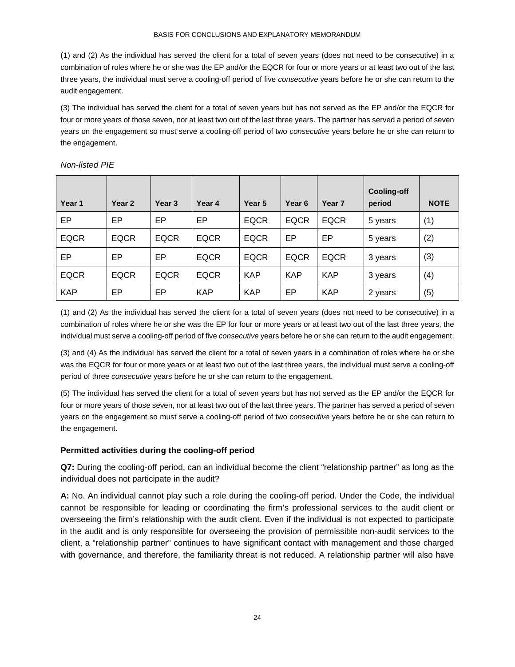#### BASIS FOR CONCLUSIONS AND EXPLANATORY MEMORANDUM

(1) and (2) As the individual has served the client for a total of seven years (does not need to be consecutive) in a combination of roles where he or she was the EP and/or the EQCR for four or more years or at least two out of the last three years, the individual must serve a cooling-off period of five *consecutive* years before he or she can return to the audit engagement.

(3) The individual has served the client for a total of seven years but has not served as the EP and/or the EQCR for four or more years of those seven, nor at least two out of the last three years. The partner has served a period of seven years on the engagement so must serve a cooling-off period of two *consecutive* years before he or she can return to the engagement.

| Year 1      | Year 2      | Year <sub>3</sub> | Year 4      | Year 5      | Year <sub>6</sub> | Year <sub>7</sub> | <b>Cooling-off</b><br>period | <b>NOTE</b> |
|-------------|-------------|-------------------|-------------|-------------|-------------------|-------------------|------------------------------|-------------|
| EP          | EP          | EP                | EP          | <b>EQCR</b> | <b>EQCR</b>       | <b>EQCR</b>       | 5 years                      | (1)         |
| <b>EQCR</b> | <b>EQCR</b> | <b>EQCR</b>       | <b>EQCR</b> | <b>EQCR</b> | EP                | EP                | 5 years                      | (2)         |
| EP          | EP          | EP                | <b>EQCR</b> | <b>EQCR</b> | <b>EQCR</b>       | <b>EQCR</b>       | 3 years                      | (3)         |
| <b>EQCR</b> | <b>EQCR</b> | <b>EQCR</b>       | <b>EQCR</b> | <b>KAP</b>  | <b>KAP</b>        | <b>KAP</b>        | 3 years                      | (4)         |
| <b>KAP</b>  | EP          | EP                | <b>KAP</b>  | <b>KAP</b>  | EP                | <b>KAP</b>        | 2 years                      | (5)         |

#### *Non-listed PIE*

(1) and (2) As the individual has served the client for a total of seven years (does not need to be consecutive) in a combination of roles where he or she was the EP for four or more years or at least two out of the last three years, the individual must serve a cooling-off period of five *consecutive* years before he or she can return to the audit engagement.

(3) and (4) As the individual has served the client for a total of seven years in a combination of roles where he or she was the EQCR for four or more years or at least two out of the last three years, the individual must serve a cooling-off period of three *consecutive* years before he or she can return to the engagement.

(5) The individual has served the client for a total of seven years but has not served as the EP and/or the EQCR for four or more years of those seven, nor at least two out of the last three years. The partner has served a period of seven years on the engagement so must serve a cooling-off period of two *consecutive* years before he or she can return to the engagement.

## **Permitted activities during the cooling-off period**

**Q7:** During the cooling-off period, can an individual become the client "relationship partner" as long as the individual does not participate in the audit?

**A:** No. An individual cannot play such a role during the cooling-off period. Under the Code, the individual cannot be responsible for leading or coordinating the firm's professional services to the audit client or overseeing the firm's relationship with the audit client. Even if the individual is not expected to participate in the audit and is only responsible for overseeing the provision of permissible non-audit services to the client, a "relationship partner" continues to have significant contact with management and those charged with governance, and therefore, the familiarity threat is not reduced. A relationship partner will also have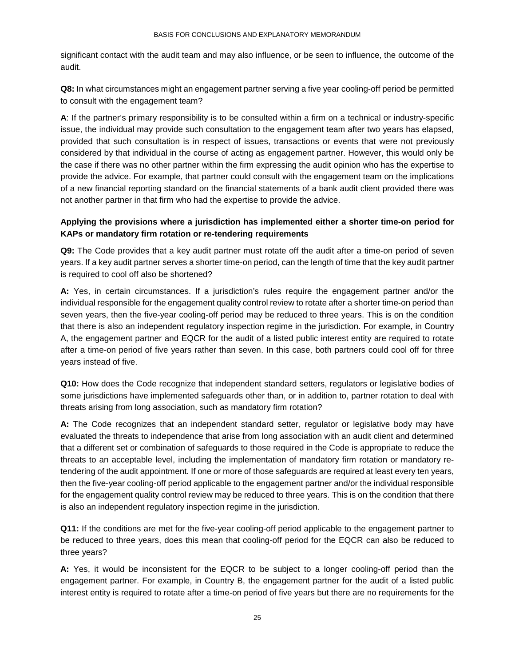significant contact with the audit team and may also influence, or be seen to influence, the outcome of the audit.

**Q8:** In what circumstances might an engagement partner serving a five year cooling-off period be permitted to consult with the engagement team?

**A**: If the partner's primary responsibility is to be consulted within a firm on a technical or industry-specific issue, the individual may provide such consultation to the engagement team after two years has elapsed, provided that such consultation is in respect of issues, transactions or events that were not previously considered by that individual in the course of acting as engagement partner. However, this would only be the case if there was no other partner within the firm expressing the audit opinion who has the expertise to provide the advice. For example, that partner could consult with the engagement team on the implications of a new financial reporting standard on the financial statements of a bank audit client provided there was not another partner in that firm who had the expertise to provide the advice.

## **Applying the provisions where a jurisdiction has implemented either a shorter time-on period for KAPs or mandatory firm rotation or re-tendering requirements**

**Q9:** The Code provides that a key audit partner must rotate off the audit after a time-on period of seven years. If a key audit partner serves a shorter time-on period, can the length of time that the key audit partner is required to cool off also be shortened?

**A:** Yes, in certain circumstances. If a jurisdiction's rules require the engagement partner and/or the individual responsible for the engagement quality control review to rotate after a shorter time-on period than seven years, then the five-year cooling-off period may be reduced to three years. This is on the condition that there is also an independent regulatory inspection regime in the jurisdiction. For example, in Country A, the engagement partner and EQCR for the audit of a listed public interest entity are required to rotate after a time-on period of five years rather than seven. In this case, both partners could cool off for three years instead of five.

**Q10:** How does the Code recognize that independent standard setters, regulators or legislative bodies of some jurisdictions have implemented safeguards other than, or in addition to, partner rotation to deal with threats arising from long association, such as mandatory firm rotation?

**A:** The Code recognizes that an independent standard setter, regulator or legislative body may have evaluated the threats to independence that arise from long association with an audit client and determined that a different set or combination of safeguards to those required in the Code is appropriate to reduce the threats to an acceptable level, including the implementation of mandatory firm rotation or mandatory retendering of the audit appointment. If one or more of those safeguards are required at least every ten years, then the five-year cooling-off period applicable to the engagement partner and/or the individual responsible for the engagement quality control review may be reduced to three years. This is on the condition that there is also an independent regulatory inspection regime in the jurisdiction.

**Q11:** If the conditions are met for the five-year cooling-off period applicable to the engagement partner to be reduced to three years, does this mean that cooling-off period for the EQCR can also be reduced to three years?

**A:** Yes, it would be inconsistent for the EQCR to be subject to a longer cooling-off period than the engagement partner. For example, in Country B, the engagement partner for the audit of a listed public interest entity is required to rotate after a time-on period of five years but there are no requirements for the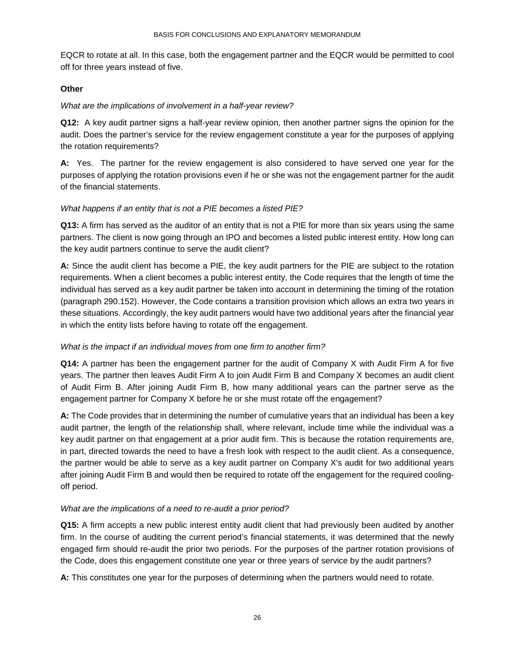EQCR to rotate at all. In this case, both the engagement partner and the EQCR would be permitted to cool off for three years instead of five.

#### **Other**

#### *What are the implications of involvement in a half-year review?*

**Q12:** A key audit partner signs a half-year review opinion, then another partner signs the opinion for the audit. Does the partner's service for the review engagement constitute a year for the purposes of applying the rotation requirements?

**A:** Yes. The partner for the review engagement is also considered to have served one year for the purposes of applying the rotation provisions even if he or she was not the engagement partner for the audit of the financial statements.

#### *What happens if an entity that is not a PIE becomes a listed PIE?*

**Q13:** A firm has served as the auditor of an entity that is not a PIE for more than six years using the same partners. The client is now going through an IPO and becomes a listed public interest entity. How long can the key audit partners continue to serve the audit client?

**A:** Since the audit client has become a PIE, the key audit partners for the PIE are subject to the rotation requirements. When a client becomes a public interest entity, the Code requires that the length of time the individual has served as a key audit partner be taken into account in determining the timing of the rotation (paragraph 290.152). However, the Code contains a transition provision which allows an extra two years in these situations. Accordingly, the key audit partners would have two additional years after the financial year in which the entity lists before having to rotate off the engagement.

## *What is the impact if an individual moves from one firm to another firm?*

**Q14:** A partner has been the engagement partner for the audit of Company X with Audit Firm A for five years. The partner then leaves Audit Firm A to join Audit Firm B and Company X becomes an audit client of Audit Firm B. After joining Audit Firm B, how many additional years can the partner serve as the engagement partner for Company X before he or she must rotate off the engagement?

**A:** The Code provides that in determining the number of cumulative years that an individual has been a key audit partner, the length of the relationship shall, where relevant, include time while the individual was a key audit partner on that engagement at a prior audit firm. This is because the rotation requirements are, in part, directed towards the need to have a fresh look with respect to the audit client. As a consequence, the partner would be able to serve as a key audit partner on Company X's audit for two additional years after joining Audit Firm B and would then be required to rotate off the engagement for the required coolingoff period.

## *What are the implications of a need to re-audit a prior period?*

**Q15:** A firm accepts a new public interest entity audit client that had previously been audited by another firm. In the course of auditing the current period's financial statements, it was determined that the newly engaged firm should re-audit the prior two periods. For the purposes of the partner rotation provisions of the Code, does this engagement constitute one year or three years of service by the audit partners?

**A:** This constitutes one year for the purposes of determining when the partners would need to rotate.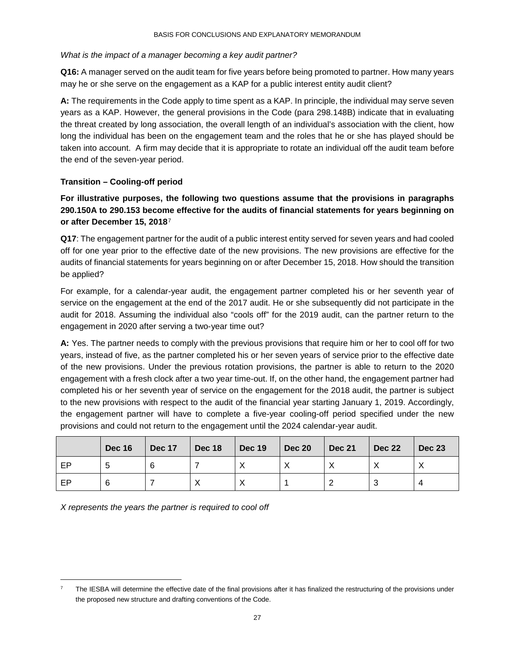#### *What is the impact of a manager becoming a key audit partner?*

**Q16:** A manager served on the audit team for five years before being promoted to partner. How many years may he or she serve on the engagement as a KAP for a public interest entity audit client?

**A:** The requirements in the Code apply to time spent as a KAP. In principle, the individual may serve seven years as a KAP. However, the general provisions in the Code (para 298.148B) indicate that in evaluating the threat created by long association, the overall length of an individual's association with the client, how long the individual has been on the engagement team and the roles that he or she has played should be taken into account. A firm may decide that it is appropriate to rotate an individual off the audit team before the end of the seven-year period.

## **Transition – Cooling-off period**

**For illustrative purposes, the following two questions assume that the provisions in paragraphs 290.150A to 290.153 become effective for the audits of financial statements for years beginning on or after December 15, 2018**[7](#page-26-0)

**Q17**: The engagement partner for the audit of a public interest entity served for seven years and had cooled off for one year prior to the effective date of the new provisions. The new provisions are effective for the audits of financial statements for years beginning on or after December 15, 2018. How should the transition be applied?

For example, for a calendar-year audit, the engagement partner completed his or her seventh year of service on the engagement at the end of the 2017 audit. He or she subsequently did not participate in the audit for 2018. Assuming the individual also "cools off" for the 2019 audit, can the partner return to the engagement in 2020 after serving a two-year time out?

**A:** Yes. The partner needs to comply with the previous provisions that require him or her to cool off for two years, instead of five, as the partner completed his or her seven years of service prior to the effective date of the new provisions. Under the previous rotation provisions, the partner is able to return to the 2020 engagement with a fresh clock after a two year time-out. If, on the other hand, the engagement partner had completed his or her seventh year of service on the engagement for the 2018 audit, the partner is subject to the new provisions with respect to the audit of the financial year starting January 1, 2019. Accordingly, the engagement partner will have to complete a five-year cooling-off period specified under the new provisions and could not return to the engagement until the 2024 calendar-year audit.

|    | <b>Dec 16</b> | $\vert$ Dec 17 | $\vert$ Dec 18 | $\blacksquare$ Dec 19 | $\vert$ Dec 20 | <b>Dec 21</b> | $\vert$ Dec 22 | $\vert$ Dec 23 |
|----|---------------|----------------|----------------|-----------------------|----------------|---------------|----------------|----------------|
| EP |               |                |                |                       |                |               |                |                |
| EP |               |                |                |                       |                |               |                |                |

*X represents the years the partner is required to cool off* 

<span id="page-26-0"></span>The IESBA will determine the effective date of the final provisions after it has finalized the restructuring of the provisions under the proposed new structure and drafting conventions of the Code.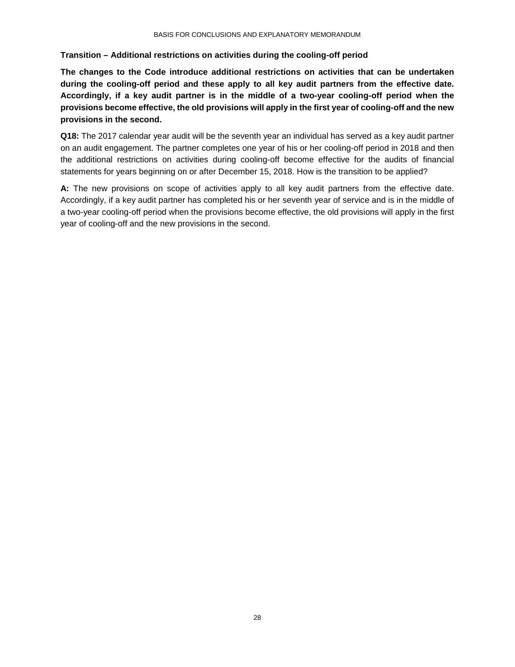#### **Transition – Additional restrictions on activities during the cooling-off period**

**The changes to the Code introduce additional restrictions on activities that can be undertaken during the cooling-off period and these apply to all key audit partners from the effective date. Accordingly, if a key audit partner is in the middle of a two-year cooling-off period when the provisions become effective, the old provisions will apply in the first year of cooling-off and the new provisions in the second.** 

**Q18:** The 2017 calendar year audit will be the seventh year an individual has served as a key audit partner on an audit engagement. The partner completes one year of his or her cooling-off period in 2018 and then the additional restrictions on activities during cooling-off become effective for the audits of financial statements for years beginning on or after December 15, 2018. How is the transition to be applied?

**A:** The new provisions on scope of activities apply to all key audit partners from the effective date. Accordingly, if a key audit partner has completed his or her seventh year of service and is in the middle of a two-year cooling-off period when the provisions become effective, the old provisions will apply in the first year of cooling-off and the new provisions in the second.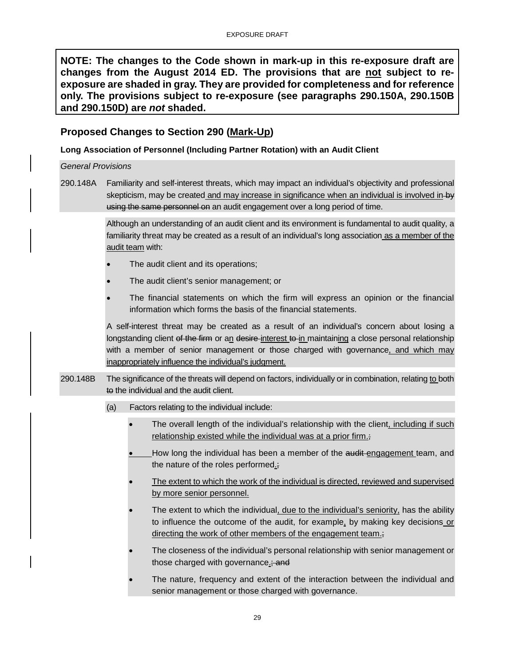**NOTE: The changes to the Code shown in mark-up in this re-exposure draft are changes from the August 2014 ED. The provisions that are not subject to reexposure are shaded in gray. They are provided for completeness and for reference only. The provisions subject to re-exposure (see paragraphs 290.150A, 290.150B and 290.150D) are** *not* **shaded.** 

## <span id="page-28-0"></span>**Proposed Changes to Section 290 (Mark-Up)**

## **Long Association of Personnel (Including Partner Rotation) with an Audit Client**

#### *General Provisions*

290.148A Familiarity and self-interest threats, which may impact an individual's objectivity and professional skepticism, may be created and may increase in significance when an individual is involved in-by using the same personnel on an audit engagement over a long period of time.

> Although an understanding of an audit client and its environment is fundamental to audit quality, a familiarity threat may be created as a result of an individual's long association as a member of the audit team with:

- The audit client and its operations;
- The audit client's senior management; or
- The financial statements on which the firm will express an opinion or the financial information which forms the basis of the financial statements.

A self-interest threat may be created as a result of an individual's concern about losing a longstanding client of the firm or an desire-interest to in maintaining a close personal relationship with a member of senior management or those charged with governance, and which may inappropriately influence the individual's judgment.

- 290.148B The significance of the threats will depend on factors, individually or in combination, relating to both to the individual and the audit client.
	- (a) Factors relating to the individual include:
		- The overall length of the individual's relationship with the client, including if such relationship existed while the individual was at a prior firm.;
		- How long the individual has been a member of the audit engagement team, and the nature of the roles performed.;
		- The extent to which the work of the individual is directed, reviewed and supervised by more senior personnel.
		- The extent to which the individual, due to the individual's seniority, has the ability to influence the outcome of the audit, for example, by making key decisions or directing the work of other members of the engagement team.;
		- The closeness of the individual's personal relationship with senior management or those charged with governance.; and
		- The nature, frequency and extent of the interaction between the individual and senior management or those charged with governance.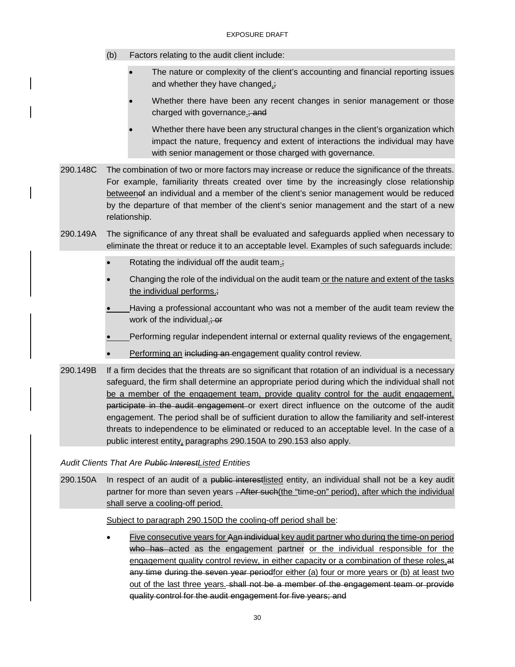- (b) Factors relating to the audit client include:
	- The nature or complexity of the client's accounting and financial reporting issues and whether they have changed.;
	- Whether there have been any recent changes in senior management or those charged with governance.; and
	- Whether there have been any structural changes in the client's organization which impact the nature, frequency and extent of interactions the individual may have with senior management or those charged with governance.
- 290.148C The combination of two or more factors may increase or reduce the significance of the threats. For example, familiarity threats created over time by the increasingly close relationship betweenof an individual and a member of the client's senior management would be reduced by the departure of that member of the client's senior management and the start of a new relationship.
- 290.149A The significance of any threat shall be evaluated and safeguards applied when necessary to eliminate the threat or reduce it to an acceptable level. Examples of such safeguards include:
	- Rotating the individual off the audit team.;
	- Changing the role of the individual on the audit team or the nature and extent of the tasks the individual performs.;
	- Having a professional accountant who was not a member of the audit team review the work of the individual.; or
	- Performing regular independent internal or external quality reviews of the engagement.
	- Performing an including an engagement quality control review.
- 290.149B If a firm decides that the threats are so significant that rotation of an individual is a necessary safeguard, the firm shall determine an appropriate period during which the individual shall not be a member of the engagement team, provide quality control for the audit engagement, participate in the audit engagement or exert direct influence on the outcome of the audit engagement. The period shall be of sufficient duration to allow the familiarity and self-interest threats to independence to be eliminated or reduced to an acceptable level. In the case of a public interest entity, paragraphs 290.150A to 290.153 also apply.

*Audit Clients That Are Public InterestListed Entities*

290.150A In respect of an audit of a public interestisted entity, an individual shall not be a key audit partner for more than seven years . After such (the "time-on" period), after which the individual shall serve a cooling-off period.

Subject to paragraph 290.150D the cooling-off period shall be:

Five consecutive years for Aan individual key audit partner who during the time-on period who has acted as the engagement partner or the individual responsible for the engagement quality control review, in either capacity or a combination of these roles, at any time during the seven year periodfor either (a) four or more years or (b) at least two out of the last three years. shall not be a member of the engagement team or provide quality control for the audit engagement for five years; and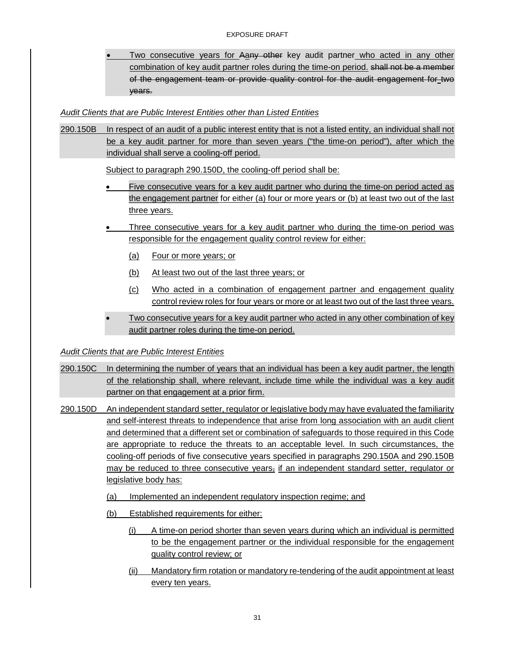Two consecutive years for Aany other key audit partner who acted in any other combination of key audit partner roles during the time-on period. shall not be a member of the engagement team or provide quality control for the audit engagement for two years.

## *Audit Clients that are Public Interest Entities other than Listed Entities*

290.150B In respect of an audit of a public interest entity that is not a listed entity, an individual shall not be a key audit partner for more than seven years ("the time-on period"), after which the individual shall serve a cooling-off period.

Subject to paragraph 290.150D, the cooling-off period shall be:

- Five consecutive years for a key audit partner who during the time-on period acted as the engagement partner for either (a) four or more years or (b) at least two out of the last three years.
- Three consecutive years for a key audit partner who during the time-on period was responsible for the engagement quality control review for either:
	- (a) Four or more years; or
	- (b) At least two out of the last three years; or
	- (c) Who acted in a combination of engagement partner and engagement quality control review roles for four years or more or at least two out of the last three years.
- Two consecutive years for a key audit partner who acted in any other combination of key audit partner roles during the time-on period.

## *Audit Clients that are Public Interest Entities*

- 290.150C In determining the number of years that an individual has been a key audit partner, the length of the relationship shall, where relevant, include time while the individual was a key audit partner on that engagement at a prior firm.
- 290.150D An independent standard setter, regulator or legislative body may have evaluated the familiarity and self-interest threats to independence that arise from long association with an audit client and determined that a different set or combination of safeguards to those required in this Code are appropriate to reduce the threats to an acceptable level. In such circumstances, the cooling-off periods of five consecutive years specified in paragraphs 290.150A and 290.150B may be reduced to three consecutive years, if an independent standard setter, regulator or legislative body has:
	- (a) Implemented an independent regulatory inspection regime; and
	- (b) Established requirements for either:
		- (i) A time-on period shorter than seven years during which an individual is permitted to be the engagement partner or the individual responsible for the engagement quality control review; or
		- (ii) Mandatory firm rotation or mandatory re-tendering of the audit appointment at least every ten years.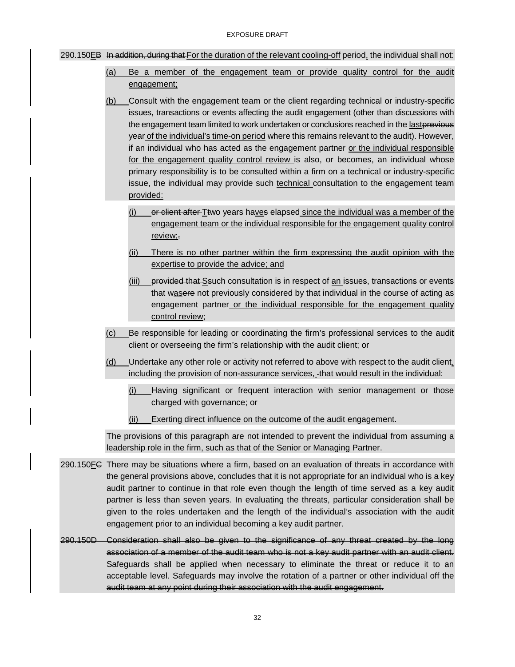#### 290.150EB In addition, during that For the duration of the relevant cooling-off period, the individual shall not:

- (a) Be a member of the engagement team or provide quality control for the audit engagement;
- (b) Consult with the engagement team or the client regarding technical or industry-specific issues, transactions or events affecting the audit engagement (other than discussions with the engagement team limited to work undertaken or conclusions reached in the lastprevious year of the individual's time-on period where this remains relevant to the audit). However, if an individual who has acted as the engagement partner or the individual responsible for the engagement quality control review is also, or becomes, an individual whose primary responsibility is to be consulted within a firm on a technical or industry-specific issue, the individual may provide such technical consultation to the engagement team provided:
	- $(i)$  or client after Ttwo years haves elapsed since the individual was a member of the engagement team or the individual responsible for the engagement quality control review;,
	- (ii) There is no other partner within the firm expressing the audit opinion with the expertise to provide the advice; and
	- (iii) provided that Seuch consultation is in respect of an issues, transactions or events that wasere not previously considered by that individual in the course of acting as engagement partner or the individual responsible for the engagement quality control review;
- (c) Be responsible for leading or coordinating the firm's professional services to the audit client or overseeing the firm's relationship with the audit client; or
- (d) Undertake any other role or activity not referred to above with respect to the audit client, including the provision of non-assurance services, that would result in the individual:
	- (i) Having significant or frequent interaction with senior management or those charged with governance; or
	- (ii) Exerting direct influence on the outcome of the audit engagement.

The provisions of this paragraph are not intended to prevent the individual from assuming a leadership role in the firm, such as that of the Senior or Managing Partner.

- 290.150FC There may be situations where a firm, based on an evaluation of threats in accordance with the general provisions above, concludes that it is not appropriate for an individual who is a key audit partner to continue in that role even though the length of time served as a key audit partner is less than seven years. In evaluating the threats, particular consideration shall be given to the roles undertaken and the length of the individual's association with the audit engagement prior to an individual becoming a key audit partner.
- 290.150D Consideration shall also be given to the significance of any threat created by the long association of a member of the audit team who is not a key audit partner with an audit client. Safeguards shall be applied when necessary to eliminate the threat or reduce it to an acceptable level. Safeguards may involve the rotation of a partner or other individual off the audit team at any point during their association with the audit engagement.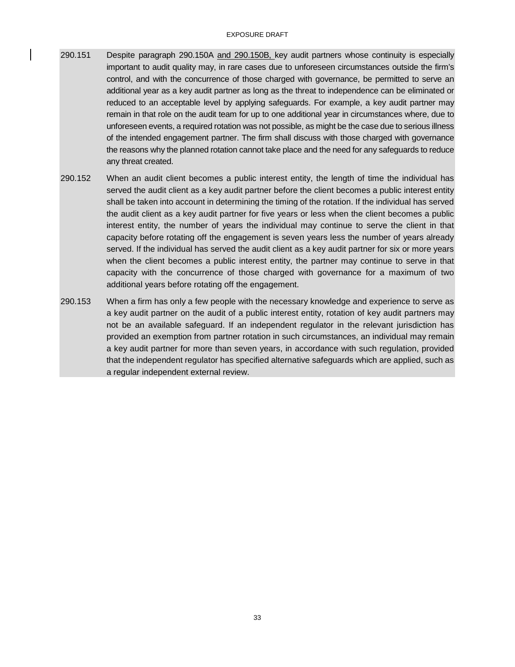#### EXPOSURE DRAFT

- 290.151 Despite paragraph 290.150A and 290.150B, key audit partners whose continuity is especially important to audit quality may, in rare cases due to unforeseen circumstances outside the firm's control, and with the concurrence of those charged with governance, be permitted to serve an additional year as a key audit partner as long as the threat to independence can be eliminated or reduced to an acceptable level by applying safeguards. For example, a key audit partner may remain in that role on the audit team for up to one additional year in circumstances where, due to unforeseen events, a required rotation was not possible, as might be the case due to serious illness of the intended engagement partner. The firm shall discuss with those charged with governance the reasons why the planned rotation cannot take place and the need for any safeguards to reduce any threat created.
- 290.152 When an audit client becomes a public interest entity, the length of time the individual has served the audit client as a key audit partner before the client becomes a public interest entity shall be taken into account in determining the timing of the rotation. If the individual has served the audit client as a key audit partner for five years or less when the client becomes a public interest entity, the number of years the individual may continue to serve the client in that capacity before rotating off the engagement is seven years less the number of years already served. If the individual has served the audit client as a key audit partner for six or more years when the client becomes a public interest entity, the partner may continue to serve in that capacity with the concurrence of those charged with governance for a maximum of two additional years before rotating off the engagement.
- 290.153 When a firm has only a few people with the necessary knowledge and experience to serve as a key audit partner on the audit of a public interest entity, rotation of key audit partners may not be an available safeguard. If an independent regulator in the relevant jurisdiction has provided an exemption from partner rotation in such circumstances, an individual may remain a key audit partner for more than seven years, in accordance with such regulation, provided that the independent regulator has specified alternative safeguards which are applied, such as a regular independent external review.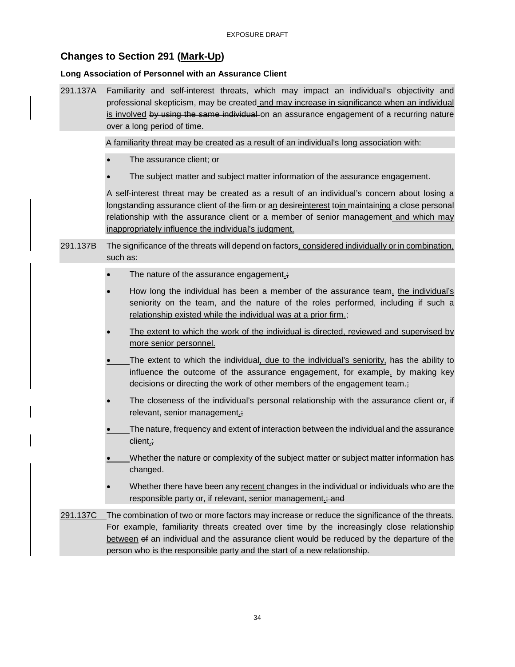## <span id="page-33-0"></span>**Changes to Section 291 (Mark-Up)**

#### **Long Association of Personnel with an Assurance Client**

291.137A Familiarity and self-interest threats, which may impact an individual's objectivity and professional skepticism, may be created and may increase in significance when an individual is involved by using the same individual on an assurance engagement of a recurring nature over a long period of time.

A familiarity threat may be created as a result of an individual's long association with:

- The assurance client; or
- The subject matter and subject matter information of the assurance engagement.

A self-interest threat may be created as a result of an individual's concern about losing a longstanding assurance client of the firm or an desireinterest toin maintaining a close personal relationship with the assurance client or a member of senior management and which may inappropriately influence the individual's judgment.

- 291.137B The significance of the threats will depend on factors, considered individually or in combination, such as:
	- The nature of the assurance engagement.;
	- How long the individual has been a member of the assurance team, the individual's seniority on the team, and the nature of the roles performed, including if such a relationship existed while the individual was at a prior firm.;
	- The extent to which the work of the individual is directed, reviewed and supervised by more senior personnel.
	- The extent to which the individual, due to the individual's seniority, has the ability to influence the outcome of the assurance engagement, for example, by making key decisions or directing the work of other members of the engagement team.;
	- The closeness of the individual's personal relationship with the assurance client or, if relevant, senior management.;
	- The nature, frequency and extent of interaction between the individual and the assurance client.;
	- Whether the nature or complexity of the subject matter or subject matter information has changed.
	- Whether there have been any recent changes in the individual or individuals who are the responsible party or, if relevant, senior management.; and
- 291.137C The combination of two or more factors may increase or reduce the significance of the threats. For example, familiarity threats created over time by the increasingly close relationship between of an individual and the assurance client would be reduced by the departure of the person who is the responsible party and the start of a new relationship.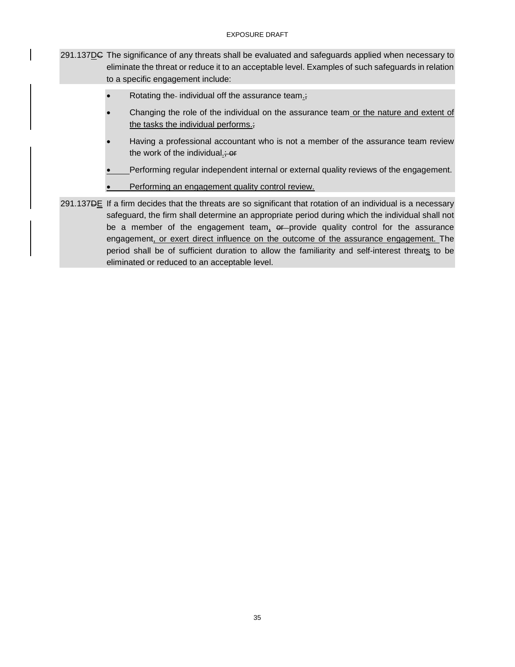- 291.137DC The significance of any threats shall be evaluated and safeguards applied when necessary to eliminate the threat or reduce it to an acceptable level. Examples of such safeguards in relation to a specific engagement include:
	- Rotating the individual off the assurance team.;
	- Changing the role of the individual on the assurance team or the nature and extent of the tasks the individual performs.;
	- Having a professional accountant who is not a member of the assurance team review the work of the individual $\frac{1}{x}$  or
	- Performing regular independent internal or external quality reviews of the engagement.
	- Performing an engagement quality control review.
- 291.137DE If a firm decides that the threats are so significant that rotation of an individual is a necessary safeguard, the firm shall determine an appropriate period during which the individual shall not be a member of the engagement team,  $er$ -provide quality control for the assurance engagement, or exert direct influence on the outcome of the assurance engagement. The period shall be of sufficient duration to allow the familiarity and self-interest threats to be eliminated or reduced to an acceptable level.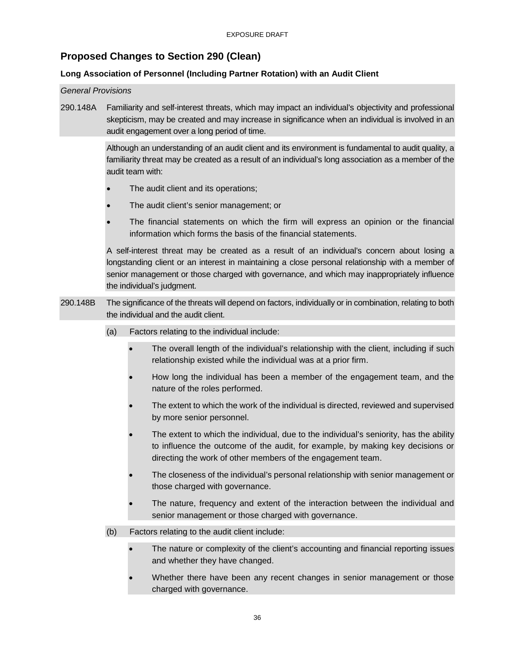## <span id="page-35-0"></span>**Proposed Changes to Section 290 (Clean)**

## **Long Association of Personnel (Including Partner Rotation) with an Audit Client**

#### *General Provisions*

290.148A Familiarity and self-interest threats, which may impact an individual's objectivity and professional skepticism, may be created and may increase in significance when an individual is involved in an audit engagement over a long period of time.

> Although an understanding of an audit client and its environment is fundamental to audit quality, a familiarity threat may be created as a result of an individual's long association as a member of the audit team with:

- The audit client and its operations;
- The audit client's senior management; or
- The financial statements on which the firm will express an opinion or the financial information which forms the basis of the financial statements.

A self-interest threat may be created as a result of an individual's concern about losing a longstanding client or an interest in maintaining a close personal relationship with a member of senior management or those charged with governance, and which may inappropriately influence the individual's judgment.

- 290.148B The significance of the threats will depend on factors, individually or in combination, relating to both the individual and the audit client.
	- (a) Factors relating to the individual include:
		- The overall length of the individual's relationship with the client, including if such relationship existed while the individual was at a prior firm.
		- How long the individual has been a member of the engagement team, and the nature of the roles performed.
		- The extent to which the work of the individual is directed, reviewed and supervised by more senior personnel.
		- The extent to which the individual, due to the individual's seniority, has the ability to influence the outcome of the audit, for example, by making key decisions or directing the work of other members of the engagement team.
		- The closeness of the individual's personal relationship with senior management or those charged with governance.
		- The nature, frequency and extent of the interaction between the individual and senior management or those charged with governance.
	- (b) Factors relating to the audit client include:
		- The nature or complexity of the client's accounting and financial reporting issues and whether they have changed.
		- Whether there have been any recent changes in senior management or those charged with governance.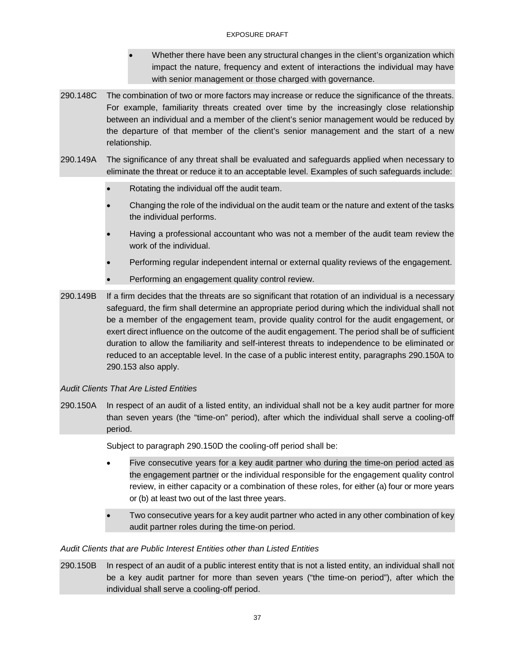#### EXPOSURE DRAFT

- Whether there have been any structural changes in the client's organization which impact the nature, frequency and extent of interactions the individual may have with senior management or those charged with governance.
- 290.148C The combination of two or more factors may increase or reduce the significance of the threats. For example, familiarity threats created over time by the increasingly close relationship between an individual and a member of the client's senior management would be reduced by the departure of that member of the client's senior management and the start of a new relationship.
- 290.149A The significance of any threat shall be evaluated and safeguards applied when necessary to eliminate the threat or reduce it to an acceptable level. Examples of such safeguards include:
	- Rotating the individual off the audit team.
	- Changing the role of the individual on the audit team or the nature and extent of the tasks the individual performs.
	- Having a professional accountant who was not a member of the audit team review the work of the individual.
	- Performing regular independent internal or external quality reviews of the engagement.
	- Performing an engagement quality control review.
- 290.149B If a firm decides that the threats are so significant that rotation of an individual is a necessary safeguard, the firm shall determine an appropriate period during which the individual shall not be a member of the engagement team, provide quality control for the audit engagement, or exert direct influence on the outcome of the audit engagement. The period shall be of sufficient duration to allow the familiarity and self-interest threats to independence to be eliminated or reduced to an acceptable level. In the case of a public interest entity, paragraphs 290.150A to 290.153 also apply.

## *Audit Clients That Are Listed Entities*

290.150A In respect of an audit of a listed entity, an individual shall not be a key audit partner for more than seven years (the "time-on" period), after which the individual shall serve a cooling-off period.

Subject to paragraph 290.150D the cooling-off period shall be:

- Five consecutive years for a key audit partner who during the time-on period acted as the engagement partner or the individual responsible for the engagement quality control review, in either capacity or a combination of these roles, for either (a) four or more years or (b) at least two out of the last three years.
- Two consecutive years for a key audit partner who acted in any other combination of key audit partner roles during the time-on period.

## *Audit Clients that are Public Interest Entities other than Listed Entities*

290.150B In respect of an audit of a public interest entity that is not a listed entity, an individual shall not be a key audit partner for more than seven years ("the time-on period"), after which the individual shall serve a cooling-off period.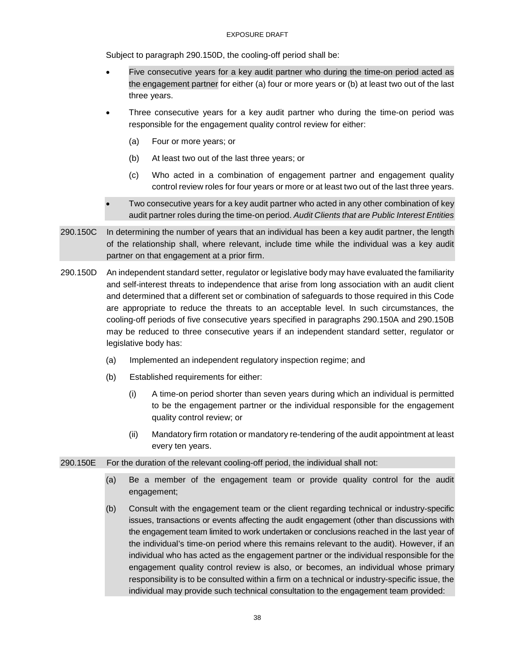#### EXPOSURE DRAFT

Subject to paragraph 290.150D, the cooling-off period shall be:

- Five consecutive years for a key audit partner who during the time-on period acted as the engagement partner for either (a) four or more years or (b) at least two out of the last three years.
- Three consecutive years for a key audit partner who during the time-on period was responsible for the engagement quality control review for either:
	- (a) Four or more years; or
	- (b) At least two out of the last three years; or
	- (c) Who acted in a combination of engagement partner and engagement quality control review roles for four years or more or at least two out of the last three years.
- Two consecutive years for a key audit partner who acted in any other combination of key audit partner roles during the time-on period. *Audit Clients that are Public Interest Entities*
- 290.150C In determining the number of years that an individual has been a key audit partner, the length of the relationship shall, where relevant, include time while the individual was a key audit partner on that engagement at a prior firm.
- 290.150D An independent standard setter, regulator or legislative body may have evaluated the familiarity and self-interest threats to independence that arise from long association with an audit client and determined that a different set or combination of safeguards to those required in this Code are appropriate to reduce the threats to an acceptable level. In such circumstances, the cooling-off periods of five consecutive years specified in paragraphs 290.150A and 290.150B may be reduced to three consecutive years if an independent standard setter, regulator or legislative body has:
	- (a) Implemented an independent regulatory inspection regime; and
	- (b) Established requirements for either:
		- (i) A time-on period shorter than seven years during which an individual is permitted to be the engagement partner or the individual responsible for the engagement quality control review; or
		- (ii) Mandatory firm rotation or mandatory re-tendering of the audit appointment at least every ten years.

#### 290.150E For the duration of the relevant cooling-off period, the individual shall not:

- (a) Be a member of the engagement team or provide quality control for the audit engagement;
- (b) Consult with the engagement team or the client regarding technical or industry-specific issues, transactions or events affecting the audit engagement (other than discussions with the engagement team limited to work undertaken or conclusions reached in the last year of the individual's time-on period where this remains relevant to the audit). However, if an individual who has acted as the engagement partner or the individual responsible for the engagement quality control review is also, or becomes, an individual whose primary responsibility is to be consulted within a firm on a technical or industry-specific issue, the individual may provide such technical consultation to the engagement team provided: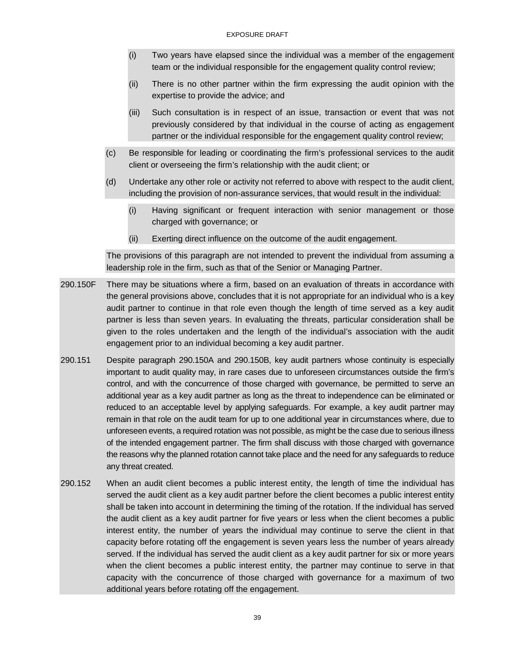- (i) Two years have elapsed since the individual was a member of the engagement team or the individual responsible for the engagement quality control review;
- (ii) There is no other partner within the firm expressing the audit opinion with the expertise to provide the advice; and
- (iii) Such consultation is in respect of an issue, transaction or event that was not previously considered by that individual in the course of acting as engagement partner or the individual responsible for the engagement quality control review;
- (c) Be responsible for leading or coordinating the firm's professional services to the audit client or overseeing the firm's relationship with the audit client; or
- (d) Undertake any other role or activity not referred to above with respect to the audit client, including the provision of non-assurance services, that would result in the individual:
	- (i) Having significant or frequent interaction with senior management or those charged with governance; or
	- (ii) Exerting direct influence on the outcome of the audit engagement.

The provisions of this paragraph are not intended to prevent the individual from assuming a leadership role in the firm, such as that of the Senior or Managing Partner.

- 290.150F There may be situations where a firm, based on an evaluation of threats in accordance with the general provisions above, concludes that it is not appropriate for an individual who is a key audit partner to continue in that role even though the length of time served as a key audit partner is less than seven years. In evaluating the threats, particular consideration shall be given to the roles undertaken and the length of the individual's association with the audit engagement prior to an individual becoming a key audit partner.
- 290.151 Despite paragraph 290.150A and 290.150B, key audit partners whose continuity is especially important to audit quality may, in rare cases due to unforeseen circumstances outside the firm's control, and with the concurrence of those charged with governance, be permitted to serve an additional year as a key audit partner as long as the threat to independence can be eliminated or reduced to an acceptable level by applying safeguards. For example, a key audit partner may remain in that role on the audit team for up to one additional year in circumstances where, due to unforeseen events, a required rotation was not possible, as might be the case due to serious illness of the intended engagement partner. The firm shall discuss with those charged with governance the reasons why the planned rotation cannot take place and the need for any safeguards to reduce any threat created.
- 290.152 When an audit client becomes a public interest entity, the length of time the individual has served the audit client as a key audit partner before the client becomes a public interest entity shall be taken into account in determining the timing of the rotation. If the individual has served the audit client as a key audit partner for five years or less when the client becomes a public interest entity, the number of years the individual may continue to serve the client in that capacity before rotating off the engagement is seven years less the number of years already served. If the individual has served the audit client as a key audit partner for six or more years when the client becomes a public interest entity, the partner may continue to serve in that capacity with the concurrence of those charged with governance for a maximum of two additional years before rotating off the engagement.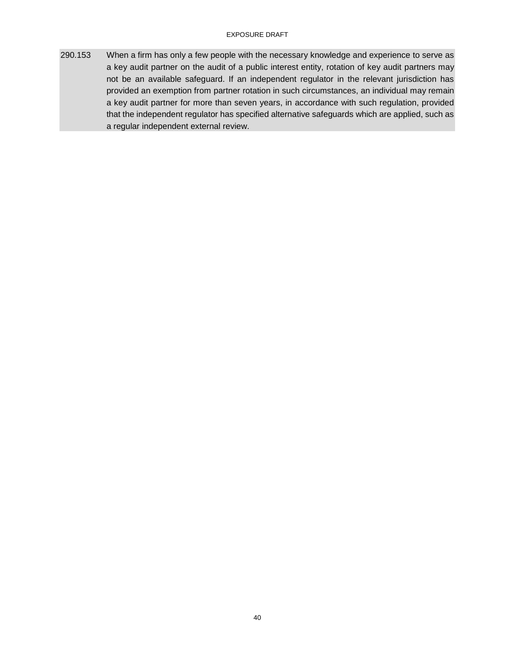#### EXPOSURE DRAFT

290.153 When a firm has only a few people with the necessary knowledge and experience to serve as a key audit partner on the audit of a public interest entity, rotation of key audit partners may not be an available safeguard. If an independent regulator in the relevant jurisdiction has provided an exemption from partner rotation in such circumstances, an individual may remain a key audit partner for more than seven years, in accordance with such regulation, provided that the independent regulator has specified alternative safeguards which are applied, such as a regular independent external review.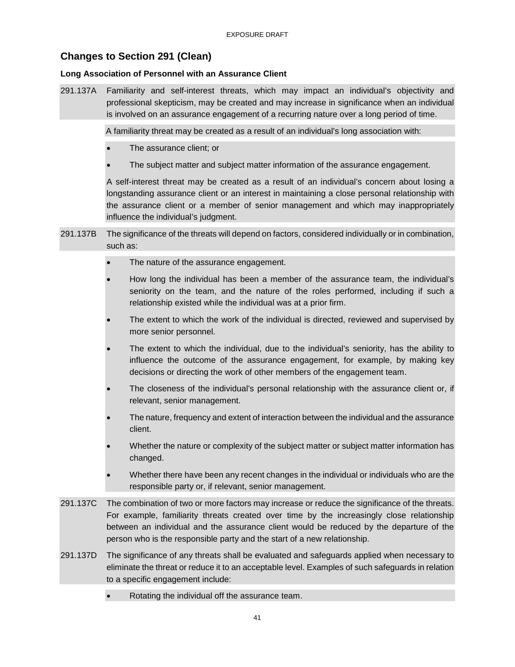## <span id="page-40-0"></span>**Changes to Section 291 (Clean)**

#### **Long Association of Personnel with an Assurance Client**

291.137A Familiarity and self-interest threats, which may impact an individual's objectivity and professional skepticism, may be created and may increase in significance when an individual is involved on an assurance engagement of a recurring nature over a long period of time.

A familiarity threat may be created as a result of an individual's long association with:

- The assurance client; or
- The subject matter and subject matter information of the assurance engagement.

A self-interest threat may be created as a result of an individual's concern about losing a longstanding assurance client or an interest in maintaining a close personal relationship with the assurance client or a member of senior management and which may inappropriately influence the individual's judgment.

- 291.137B The significance of the threats will depend on factors, considered individually or in combination, such as:
	- The nature of the assurance engagement.
	- How long the individual has been a member of the assurance team, the individual's seniority on the team, and the nature of the roles performed, including if such a relationship existed while the individual was at a prior firm.
	- The extent to which the work of the individual is directed, reviewed and supervised by more senior personnel.
	- The extent to which the individual, due to the individual's seniority, has the ability to influence the outcome of the assurance engagement, for example, by making key decisions or directing the work of other members of the engagement team.
	- The closeness of the individual's personal relationship with the assurance client or, if relevant, senior management.
	- The nature, frequency and extent of interaction between the individual and the assurance client.
	- Whether the nature or complexity of the subject matter or subject matter information has changed.
	- Whether there have been any recent changes in the individual or individuals who are the responsible party or, if relevant, senior management.
- 291.137C The combination of two or more factors may increase or reduce the significance of the threats. For example, familiarity threats created over time by the increasingly close relationship between an individual and the assurance client would be reduced by the departure of the person who is the responsible party and the start of a new relationship.
- 291.137D The significance of any threats shall be evaluated and safeguards applied when necessary to eliminate the threat or reduce it to an acceptable level. Examples of such safeguards in relation to a specific engagement include:
	- Rotating the individual off the assurance team.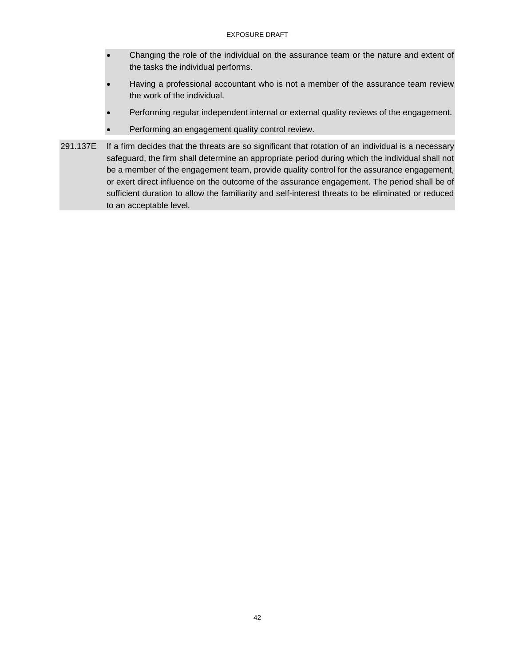- Changing the role of the individual on the assurance team or the nature and extent of the tasks the individual performs.
- Having a professional accountant who is not a member of the assurance team review the work of the individual.
- Performing regular independent internal or external quality reviews of the engagement.
- Performing an engagement quality control review.
- 291.137E If a firm decides that the threats are so significant that rotation of an individual is a necessary safeguard, the firm shall determine an appropriate period during which the individual shall not be a member of the engagement team, provide quality control for the assurance engagement, or exert direct influence on the outcome of the assurance engagement. The period shall be of sufficient duration to allow the familiarity and self-interest threats to be eliminated or reduced to an acceptable level.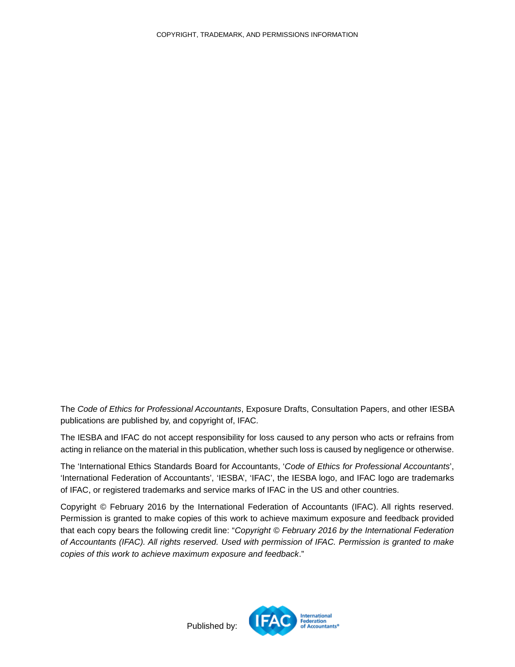<span id="page-42-0"></span>The *Code of Ethics for Professional Accountants*, Exposure Drafts, Consultation Papers, and other IESBA publications are published by, and copyright of, IFAC.

The IESBA and IFAC do not accept responsibility for loss caused to any person who acts or refrains from acting in reliance on the material in this publication, whether such loss is caused by negligence or otherwise.

The 'International Ethics Standards Board for Accountants, '*Code of Ethics for Professional Accountants*', 'International Federation of Accountants', 'IESBA', 'IFAC', the IESBA logo, and IFAC logo are trademarks of IFAC, or registered trademarks and service marks of IFAC in the US and other countries.

Copyright © February 2016 by the International Federation of Accountants (IFAC). All rights reserved. Permission is granted to make copies of this work to achieve maximum exposure and feedback provided that each copy bears the following credit line: "*Copyright © February 2016 by the International Federation of Accountants (IFAC). All rights reserved. Used with permission of IFAC. Permission is granted to make copies of this work to achieve maximum exposure and feedback*."